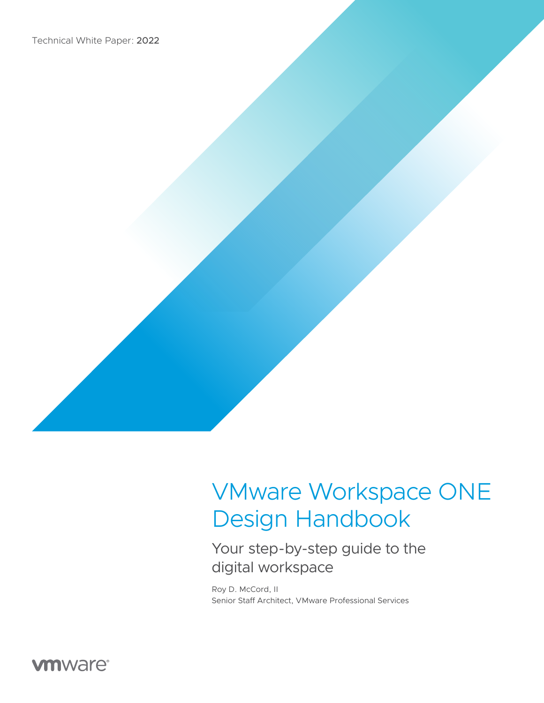

# Your step-by-step guide to the digital workspace

Roy D. McCord, II Senior Staff Architect, VMware Professional Services

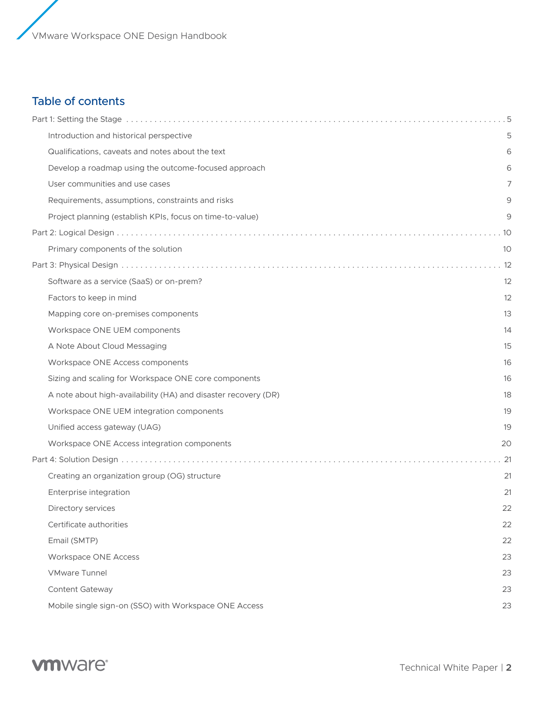# Table of contents

| Introduction and historical perspective                        | 5  |
|----------------------------------------------------------------|----|
| Qualifications, caveats and notes about the text               | 6  |
| Develop a roadmap using the outcome-focused approach           | 6  |
| User communities and use cases                                 | 7  |
| Requirements, assumptions, constraints and risks               | 9  |
| Project planning (establish KPIs, focus on time-to-value)      | 9  |
|                                                                |    |
| Primary components of the solution                             | 10 |
|                                                                |    |
| Software as a service (SaaS) or on-prem?                       | 12 |
| Factors to keep in mind                                        | 12 |
| Mapping core on-premises components                            | 13 |
| Workspace ONE UEM components                                   | 14 |
| A Note About Cloud Messaging                                   | 15 |
| Workspace ONE Access components                                | 16 |
| Sizing and scaling for Workspace ONE core components           | 16 |
| A note about high-availability (HA) and disaster recovery (DR) | 18 |
| Workspace ONE UEM integration components                       | 19 |
| Unified access gateway (UAG)                                   | 19 |
| Workspace ONE Access integration components                    | 20 |
|                                                                |    |
| Creating an organization group (OG) structure                  | 21 |
| Enterprise integration                                         | 21 |
| Directory services                                             | 22 |
| Certificate authorities                                        | 22 |
| Email (SMTP)                                                   | 22 |
| Workspace ONE Access                                           | 23 |
| <b>VMware Tunnel</b>                                           | 23 |
| Content Gateway                                                | 23 |
| Mobile single sign-on (SSO) with Workspace ONE Access          | 23 |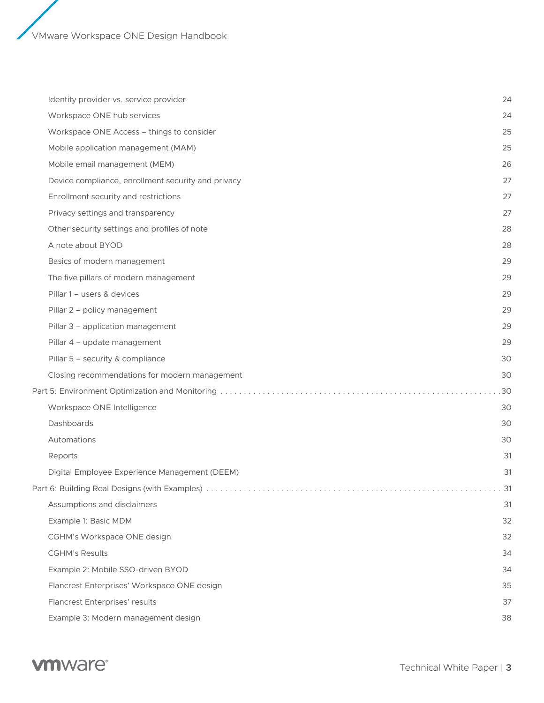| Identity provider vs. service provider             | 24  |
|----------------------------------------------------|-----|
| Workspace ONE hub services                         | 24  |
| Workspace ONE Access - things to consider          | 25  |
| Mobile application management (MAM)                | 25  |
| Mobile email management (MEM)                      | 26  |
| Device compliance, enrollment security and privacy | 27  |
| Enrollment security and restrictions               | 27  |
| Privacy settings and transparency                  | 27  |
| Other security settings and profiles of note       | 28  |
| A note about BYOD                                  | 28  |
| Basics of modern management                        | 29  |
| The five pillars of modern management              | 29  |
| Pillar 1 - users & devices                         | 29  |
| Pillar 2 - policy management                       | 29  |
| Pillar 3 - application management                  | 29  |
| Pillar 4 - update management                       | 29  |
| Pillar 5 - security & compliance                   | 30  |
| Closing recommendations for modern management      | 30  |
|                                                    | .30 |
| Workspace ONE Intelligence                         | 30  |
| Dashboards                                         | 30  |
| Automations                                        | 30  |
| Reports                                            | 31  |
| Digital Employee Experience Management (DEEM)      | 31  |
|                                                    |     |
| Assumptions and disclaimers                        | 31  |
| Example 1: Basic MDM                               | 32  |
| CGHM's Workspace ONE design                        | 32  |
| <b>CGHM's Results</b>                              | 34  |
| Example 2: Mobile SSO-driven BYOD                  | 34  |
| Flancrest Enterprises' Workspace ONE design        | 35  |
| Flancrest Enterprises' results                     | 37  |
| Example 3: Modern management design                | 38  |

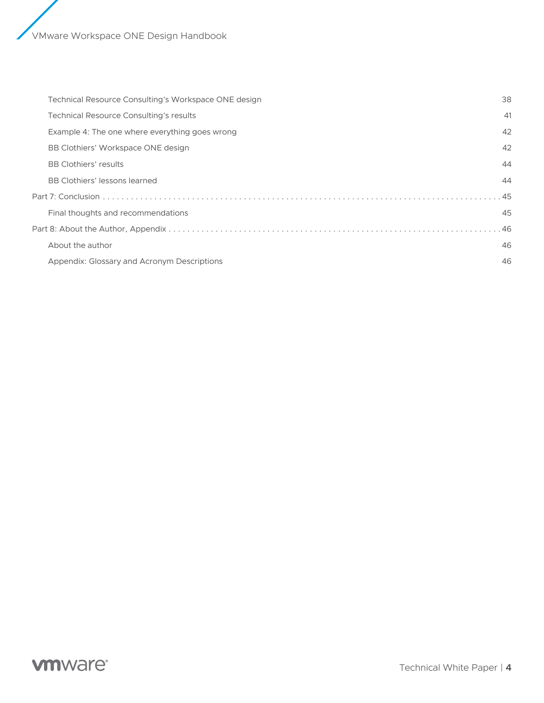| Technical Resource Consulting's Workspace ONE design | 38    |
|------------------------------------------------------|-------|
| Technical Resource Consulting's results              | -41   |
| Example 4: The one where everything goes wrong       | 42    |
| BB Clothiers' Workspace ONE design                   | 42    |
| <b>BB Clothiers' results</b>                         | 44    |
| BB Clothiers' lessons learned                        | 44    |
|                                                      | $-45$ |
| Final thoughts and recommendations                   | 45    |
|                                                      |       |
| About the author                                     | 46    |
| Appendix: Glossary and Acronym Descriptions          | 46    |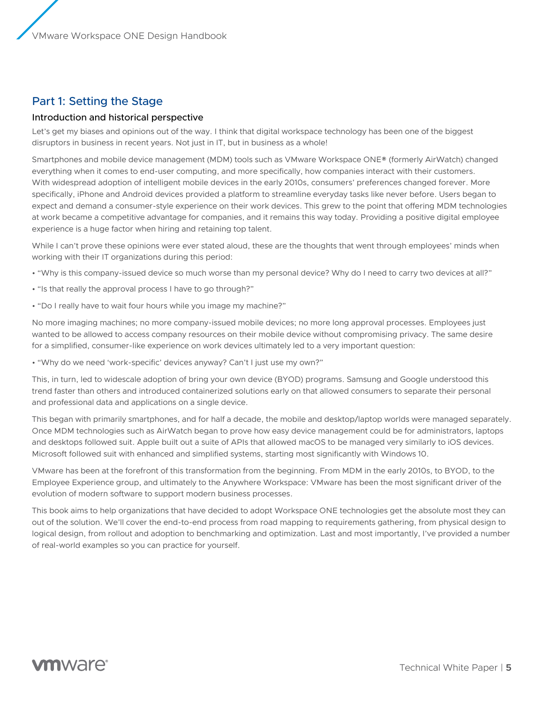# <span id="page-4-0"></span>Part 1: Setting the Stage

# Introduction and historical perspective

Let's get my biases and opinions out of the way. I think that digital workspace technology has been one of the biggest disruptors in business in recent years. Not just in IT, but in business as a whole!

Smartphones and mobile device management (MDM) tools such as VMware Workspace ONE® (formerly AirWatch) changed everything when it comes to end-user computing, and more specifically, how companies interact with their customers. With widespread adoption of intelligent mobile devices in the early 2010s, consumers' preferences changed forever. More specifically, iPhone and Android devices provided a platform to streamline everyday tasks like never before. Users began to expect and demand a consumer-style experience on their work devices. This grew to the point that offering MDM technologies at work became a competitive advantage for companies, and it remains this way today. Providing a positive digital employee experience is a huge factor when hiring and retaining top talent.

While I can't prove these opinions were ever stated aloud, these are the thoughts that went through employees' minds when working with their IT organizations during this period:

- "Why is this company-issued device so much worse than my personal device? Why do I need to carry two devices at all?"
- "Is that really the approval process I have to go through?"
- "Do I really have to wait four hours while you image my machine?"

No more imaging machines; no more company-issued mobile devices; no more long approval processes. Employees just wanted to be allowed to access company resources on their mobile device without compromising privacy. The same desire for a simplified, consumer-like experience on work devices ultimately led to a very important question:

• "Why do we need 'work-specific' devices anyway? Can't I just use my own?"

This, in turn, led to widescale adoption of bring your own device (BYOD) programs. Samsung and Google understood this trend faster than others and introduced containerized solutions early on that allowed consumers to separate their personal and professional data and applications on a single device.

This began with primarily smartphones, and for half a decade, the mobile and desktop/laptop worlds were managed separately. Once MDM technologies such as AirWatch began to prove how easy device management could be for administrators, laptops and desktops followed suit. Apple built out a suite of APIs that allowed macOS to be managed very similarly to iOS devices. Microsoft followed suit with enhanced and simplified systems, starting most significantly with Windows 10.

VMware has been at the forefront of this transformation from the beginning. From MDM in the early 2010s, to BYOD, to the Employee Experience group, and ultimately to the Anywhere Workspace: VMware has been the most significant driver of the evolution of modern software to support modern business processes.

This book aims to help organizations that have decided to adopt Workspace ONE technologies get the absolute most they can out of the solution. We'll cover the end-to-end process from road mapping to requirements gathering, from physical design to logical design, from rollout and adoption to benchmarking and optimization. Last and most importantly, I've provided a number of real-world examples so you can practice for yourself.

# **vm**ware<sup>®</sup>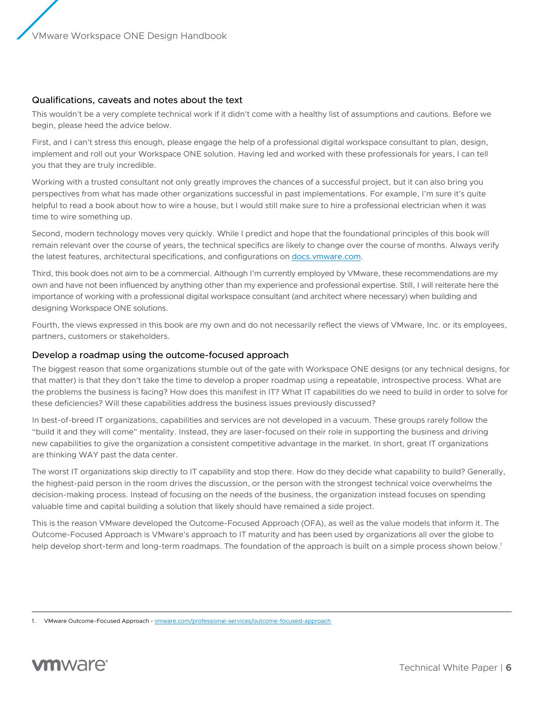# <span id="page-5-0"></span>Qualifications, caveats and notes about the text

This wouldn't be a very complete technical work if it didn't come with a healthy list of assumptions and cautions. Before we begin, please heed the advice below.

First, and I can't stress this enough, please engage the help of a professional digital workspace consultant to plan, design, implement and roll out your Workspace ONE solution. Having led and worked with these professionals for years, I can tell you that they are truly incredible.

Working with a trusted consultant not only greatly improves the chances of a successful project, but it can also bring you perspectives from what has made other organizations successful in past implementations. For example, I'm sure it's quite helpful to read a book about how to wire a house, but I would still make sure to hire a professional electrician when it was time to wire something up.

Second, modern technology moves very quickly. While I predict and hope that the foundational principles of this book will remain relevant over the course of years, the technical specifics are likely to change over the course of months. Always verify the latest features, architectural specifications, and configurations on <docs.vmware.com>.

Third, this book does not aim to be a commercial. Although I'm currently employed by VMware, these recommendations are my own and have not been influenced by anything other than my experience and professional expertise. Still, I will reiterate here the importance of working with a professional digital workspace consultant (and architect where necessary) when building and designing Workspace ONE solutions.

Fourth, the views expressed in this book are my own and do not necessarily reflect the views of VMware, Inc. or its employees, partners, customers or stakeholders.

# Develop a roadmap using the outcome-focused approach

The biggest reason that some organizations stumble out of the gate with Workspace ONE designs (or any technical designs, for that matter) is that they don't take the time to develop a proper roadmap using a repeatable, introspective process. What are the problems the business is facing? How does this manifest in IT? What IT capabilities do we need to build in order to solve for these deficiencies? Will these capabilities address the business issues previously discussed?

In best-of-breed IT organizations, capabilities and services are not developed in a vacuum. These groups rarely follow the "build it and they will come" mentality. Instead, they are laser-focused on their role in supporting the business and driving new capabilities to give the organization a consistent competitive advantage in the market. In short, great IT organizations are thinking WAY past the data center.

The worst IT organizations skip directly to IT capability and stop there. How do they decide what capability to build? Generally, the highest-paid person in the room drives the discussion, or the person with the strongest technical voice overwhelms the decision-making process. Instead of focusing on the needs of the business, the organization instead focuses on spending valuable time and capital building a solution that likely should have remained a side project.

This is the reason VMware developed the Outcome-Focused Approach (OFA), as well as the value models that inform it. The Outcome-Focused Approach is VMware's approach to IT maturity and has been used by organizations all over the globe to help develop short-term and long-term roadmaps. The foundation of the approach is built on a simple process shown below.<sup>1</sup>

<sup>1.</sup> VMware Outcome-Focused Approach - [vmware.com/professional-services/outcome-focused-approach](https://www.vmware.com/professional-services/outcome-focused-approach.html)

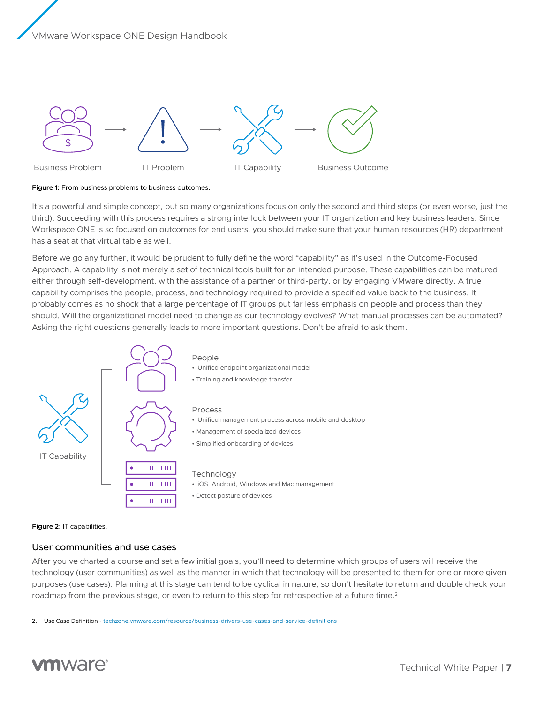<span id="page-6-0"></span>

**Figure 1:** From business problems to business outcomes.

It's a powerful and simple concept, but so many organizations focus on only the second and third steps (or even worse, just the third). Succeeding with this process requires a strong interlock between your IT organization and key business leaders. Since Workspace ONE is so focused on outcomes for end users, you should make sure that your human resources (HR) department has a seat at that virtual table as well.

Before we go any further, it would be prudent to fully define the word "capability" as it's used in the Outcome-Focused Approach. A capability is not merely a set of technical tools built for an intended purpose. These capabilities can be matured either through self-development, with the assistance of a partner or third-party, or by engaging VMware directly. A true capability comprises the people, process, and technology required to provide a specified value back to the business. It probably comes as no shock that a large percentage of IT groups put far less emphasis on people and process than they should. Will the organizational model need to change as our technology evolves? What manual processes can be automated? Asking the right questions generally leads to more important questions. Don't be afraid to ask them.



#### **Figure 2:** IT capabilities.

# User communities and use cases

After you've charted a course and set a few initial goals, you'll need to determine which groups of users will receive the technology (user communities) as well as the manner in which that technology will be presented to them for one or more given purposes (use cases). Planning at this stage can tend to be cyclical in nature, so don't hesitate to return and double check your roadmap from the previous stage, or even to return to this step for retrospective at a future time.<sup>2</sup>

<sup>2.</sup> Use Case Definition - [techzone.vmware.com/resource/business-drivers-use-cases-and-service-definitions](https://techzone.vmware.com/resource/business-drivers-use-cases-and-service-definitions)

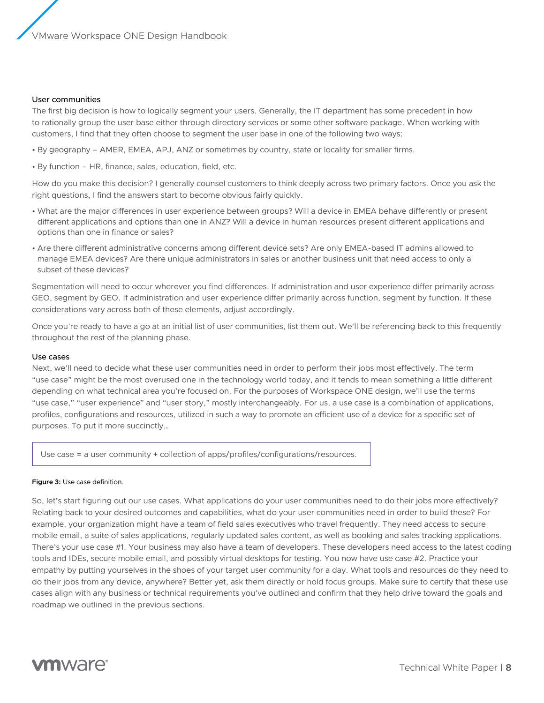#### User communities

The first big decision is how to logically segment your users. Generally, the IT department has some precedent in how to rationally group the user base either through directory services or some other software package. When working with customers, I find that they often choose to segment the user base in one of the following two ways:

- By geography AMER, EMEA, APJ, ANZ or sometimes by country, state or locality for smaller firms.
- By function HR, finance, sales, education, field, etc.

How do you make this decision? I generally counsel customers to think deeply across two primary factors. Once you ask the right questions, I find the answers start to become obvious fairly quickly.

- What are the major differences in user experience between groups? Will a device in EMEA behave differently or present different applications and options than one in ANZ? Will a device in human resources present different applications and options than one in finance or sales?
- Are there different administrative concerns among different device sets? Are only EMEA-based IT admins allowed to manage EMEA devices? Are there unique administrators in sales or another business unit that need access to only a subset of these devices?

Segmentation will need to occur wherever you find differences. If administration and user experience differ primarily across GEO, segment by GEO. If administration and user experience differ primarily across function, segment by function. If these considerations vary across both of these elements, adjust accordingly.

Once you're ready to have a go at an initial list of user communities, list them out. We'll be referencing back to this frequently throughout the rest of the planning phase.

#### Use cases

Next, we'll need to decide what these user communities need in order to perform their jobs most effectively. The term "use case" might be the most overused one in the technology world today, and it tends to mean something a little different depending on what technical area you're focused on. For the purposes of Workspace ONE design, we'll use the terms "use case," "user experience" and "user story," mostly interchangeably. For us, a use case is a combination of applications, profiles, configurations and resources, utilized in such a way to promote an efficient use of a device for a specific set of purposes. To put it more succinctly…

Use case = a user community + collection of apps/profiles/configurations/resources.

#### **Figure 3:** Use case definition.

So, let's start figuring out our use cases. What applications do your user communities need to do their jobs more effectively? Relating back to your desired outcomes and capabilities, what do your user communities need in order to build these? For example, your organization might have a team of field sales executives who travel frequently. They need access to secure mobile email, a suite of sales applications, regularly updated sales content, as well as booking and sales tracking applications. There's your use case #1. Your business may also have a team of developers. These developers need access to the latest coding tools and IDEs, secure mobile email, and possibly virtual desktops for testing. You now have use case #2. Practice your empathy by putting yourselves in the shoes of your target user community for a day. What tools and resources do they need to do their jobs from any device, anywhere? Better yet, ask them directly or hold focus groups. Make sure to certify that these use cases align with any business or technical requirements you've outlined and confirm that they help drive toward the goals and roadmap we outlined in the previous sections.

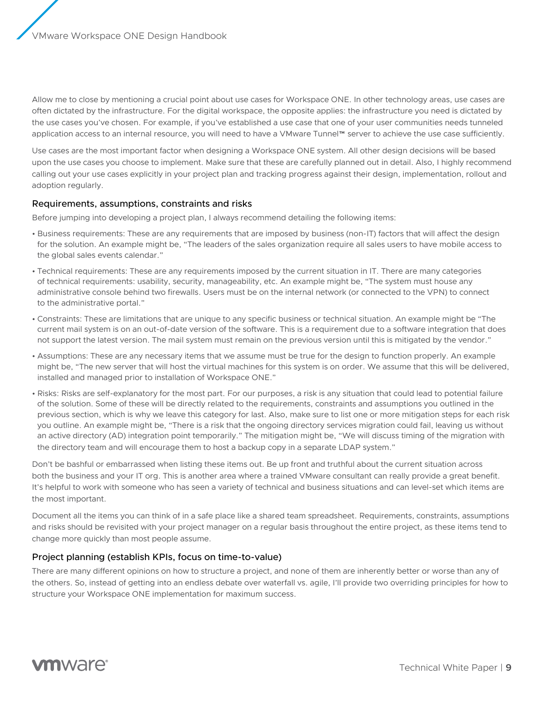<span id="page-8-0"></span>Allow me to close by mentioning a crucial point about use cases for Workspace ONE. In other technology areas, use cases are often dictated by the infrastructure. For the digital workspace, the opposite applies: the infrastructure you need is dictated by the use cases you've chosen. For example, if you've established a use case that one of your user communities needs tunneled application access to an internal resource, you will need to have a VMware Tunnel™ server to achieve the use case sufficiently.

Use cases are the most important factor when designing a Workspace ONE system. All other design decisions will be based upon the use cases you choose to implement. Make sure that these are carefully planned out in detail. Also, I highly recommend calling out your use cases explicitly in your project plan and tracking progress against their design, implementation, rollout and adoption regularly.

#### Requirements, assumptions, constraints and risks

Before jumping into developing a project plan, I always recommend detailing the following items:

- Business requirements: These are any requirements that are imposed by business (non-IT) factors that will affect the design for the solution. An example might be, "The leaders of the sales organization require all sales users to have mobile access to the global sales events calendar."
- Technical requirements: These are any requirements imposed by the current situation in IT. There are many categories of technical requirements: usability, security, manageability, etc. An example might be, "The system must house any administrative console behind two firewalls. Users must be on the internal network (or connected to the VPN) to connect to the administrative portal."
- Constraints: These are limitations that are unique to any specific business or technical situation. An example might be "The current mail system is on an out-of-date version of the software. This is a requirement due to a software integration that does not support the latest version. The mail system must remain on the previous version until this is mitigated by the vendor."
- Assumptions: These are any necessary items that we assume must be true for the design to function properly. An example might be, "The new server that will host the virtual machines for this system is on order. We assume that this will be delivered, installed and managed prior to installation of Workspace ONE."
- Risks: Risks are self-explanatory for the most part. For our purposes, a risk is any situation that could lead to potential failure of the solution. Some of these will be directly related to the requirements, constraints and assumptions you outlined in the previous section, which is why we leave this category for last. Also, make sure to list one or more mitigation steps for each risk you outline. An example might be, "There is a risk that the ongoing directory services migration could fail, leaving us without an active directory (AD) integration point temporarily." The mitigation might be, "We will discuss timing of the migration with the directory team and will encourage them to host a backup copy in a separate LDAP system."

Don't be bashful or embarrassed when listing these items out. Be up front and truthful about the current situation across both the business and your IT org. This is another area where a trained VMware consultant can really provide a great benefit. It's helpful to work with someone who has seen a variety of technical and business situations and can level-set which items are the most important.

Document all the items you can think of in a safe place like a shared team spreadsheet. Requirements, constraints, assumptions and risks should be revisited with your project manager on a regular basis throughout the entire project, as these items tend to change more quickly than most people assume.

# Project planning (establish KPIs, focus on time-to-value)

There are many different opinions on how to structure a project, and none of them are inherently better or worse than any of the others. So, instead of getting into an endless debate over waterfall vs. agile, I'll provide two overriding principles for how to structure your Workspace ONE implementation for maximum success.

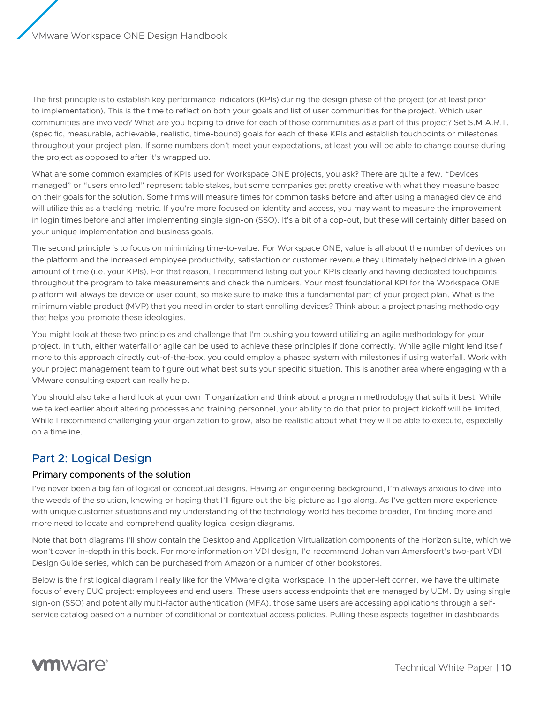<span id="page-9-0"></span>The first principle is to establish key performance indicators (KPIs) during the design phase of the project (or at least prior to implementation). This is the time to reflect on both your goals and list of user communities for the project. Which user communities are involved? What are you hoping to drive for each of those communities as a part of this project? Set S.M.A.R.T. (specific, measurable, achievable, realistic, time-bound) goals for each of these KPIs and establish touchpoints or milestones throughout your project plan. If some numbers don't meet your expectations, at least you will be able to change course during the project as opposed to after it's wrapped up.

What are some common examples of KPIs used for Workspace ONE projects, you ask? There are quite a few. "Devices managed" or "users enrolled" represent table stakes, but some companies get pretty creative with what they measure based on their goals for the solution. Some firms will measure times for common tasks before and after using a managed device and will utilize this as a tracking metric. If you're more focused on identity and access, you may want to measure the improvement in login times before and after implementing single sign-on (SSO). It's a bit of a cop-out, but these will certainly differ based on your unique implementation and business goals.

The second principle is to focus on minimizing time-to-value. For Workspace ONE, value is all about the number of devices on the platform and the increased employee productivity, satisfaction or customer revenue they ultimately helped drive in a given amount of time (i.e. your KPIs). For that reason, I recommend listing out your KPIs clearly and having dedicated touchpoints throughout the program to take measurements and check the numbers. Your most foundational KPI for the Workspace ONE platform will always be device or user count, so make sure to make this a fundamental part of your project plan. What is the minimum viable product (MVP) that you need in order to start enrolling devices? Think about a project phasing methodology that helps you promote these ideologies.

You might look at these two principles and challenge that I'm pushing you toward utilizing an agile methodology for your project. In truth, either waterfall or agile can be used to achieve these principles if done correctly. While agile might lend itself more to this approach directly out-of-the-box, you could employ a phased system with milestones if using waterfall. Work with your project management team to figure out what best suits your specific situation. This is another area where engaging with a VMware consulting expert can really help.

You should also take a hard look at your own IT organization and think about a program methodology that suits it best. While we talked earlier about altering processes and training personnel, your ability to do that prior to project kickoff will be limited. While I recommend challenging your organization to grow, also be realistic about what they will be able to execute, especially on a timeline.

# Part 2: Logical Design

# Primary components of the solution

I've never been a big fan of logical or conceptual designs. Having an engineering background, I'm always anxious to dive into the weeds of the solution, knowing or hoping that I'll figure out the big picture as I go along. As I've gotten more experience with unique customer situations and my understanding of the technology world has become broader, I'm finding more and more need to locate and comprehend quality logical design diagrams.

Note that both diagrams I'll show contain the Desktop and Application Virtualization components of the Horizon suite, which we won't cover in-depth in this book. For more information on VDI design, I'd recommend Johan van Amersfoort's two-part VDI Design Guide series, which can be purchased from Amazon or a number of other bookstores.

Below is the first logical diagram I really like for the VMware digital workspace. In the upper-left corner, we have the ultimate focus of every EUC project: employees and end users. These users access endpoints that are managed by UEM. By using single sign-on (SSO) and potentially multi-factor authentication (MFA), those same users are accessing applications through a selfservice catalog based on a number of conditional or contextual access policies. Pulling these aspects together in dashboards

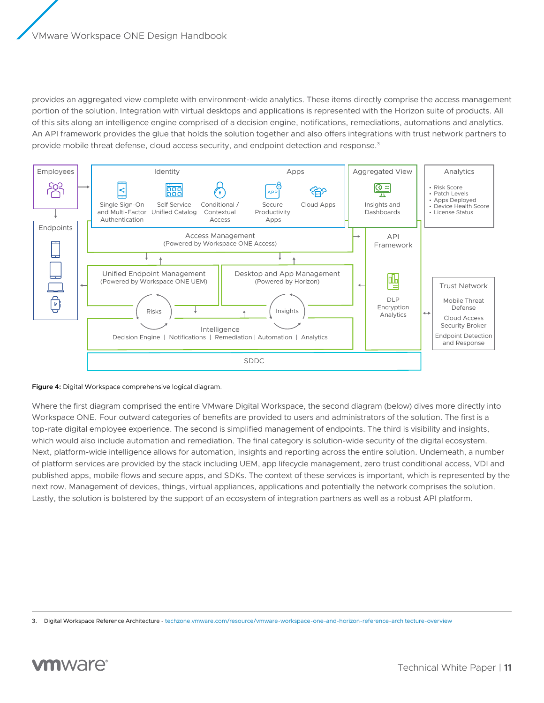provides an aggregated view complete with environment-wide analytics. These items directly comprise the access management portion of the solution. Integration with virtual desktops and applications is represented with the Horizon suite of products. All of this sits along an intelligence engine comprised of a decision engine, notifications, remediations, automations and analytics. An API framework provides the glue that holds the solution together and also offers integrations with trust network partners to provide mobile threat defense, cloud access security, and endpoint detection and response.<sup>3</sup>



#### **Figure 4:** Digital Workspace comprehensive logical diagram.

Where the first diagram comprised the entire VMware Digital Workspace, the second diagram (below) dives more directly into Workspace ONE. Four outward categories of benefits are provided to users and administrators of the solution. The first is a top-rate digital employee experience. The second is simplified management of endpoints. The third is visibility and insights, which would also include automation and remediation. The final category is solution-wide security of the digital ecosystem. Next, platform-wide intelligence allows for automation, insights and reporting across the entire solution. Underneath, a number of platform services are provided by the stack including UEM, app lifecycle management, zero trust conditional access, VDI and published apps, mobile flows and secure apps, and SDKs. The context of these services is important, which is represented by the next row. Management of devices, things, virtual appliances, applications and potentially the network comprises the solution. Lastly, the solution is bolstered by the support of an ecosystem of integration partners as well as a robust API platform.

<sup>3.</sup> Digital Workspace Reference Architecture - [techzone.vmware.com/resource/vmware-workspace-one-and-horizon-reference-architecture-overview](https://techzone.vmware.com/resource/vmware-workspace-one-and-horizon-reference-architecture-overview)

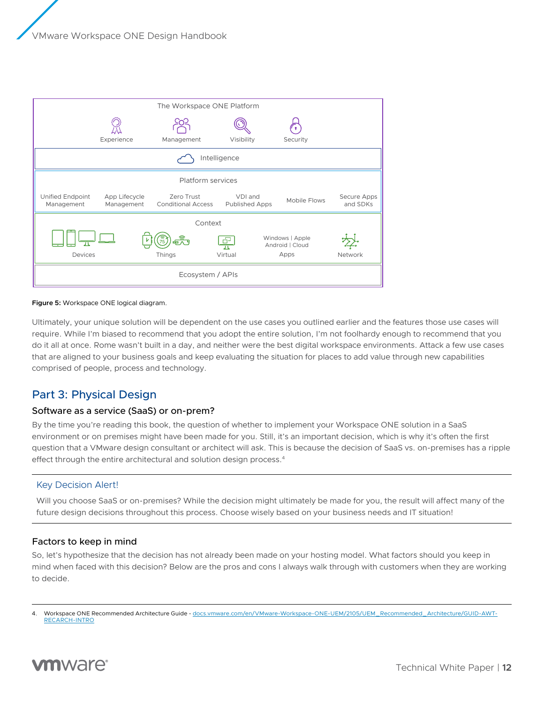<span id="page-11-0"></span>

#### **Figure 5:** Workspace ONE logical diagram.

Ultimately, your unique solution will be dependent on the use cases you outlined earlier and the features those use cases will require. While I'm biased to recommend that you adopt the entire solution, I'm not foolhardy enough to recommend that you do it all at once. Rome wasn't built in a day, and neither were the best digital workspace environments. Attack a few use cases that are aligned to your business goals and keep evaluating the situation for places to add value through new capabilities comprised of people, process and technology.

# Part 3: Physical Design

# Software as a service (SaaS) or on-prem?

By the time you're reading this book, the question of whether to implement your Workspace ONE solution in a SaaS environment or on premises might have been made for you. Still, it's an important decision, which is why it's often the first question that a VMware design consultant or architect will ask. This is because the decision of SaaS vs. on-premises has a ripple effect through the entire architectural and solution design process.<sup>4</sup>

# Key Decision Alert!

Will you choose SaaS or on-premises? While the decision might ultimately be made for you, the result will affect many of the future design decisions throughout this process. Choose wisely based on your business needs and IT situation!

# Factors to keep in mind

So, let's hypothesize that the decision has not already been made on your hosting model. What factors should you keep in mind when faced with this decision? Below are the pros and cons I always walk through with customers when they are working to decide.

<sup>4.</sup> Workspace ONE Recommended Architecture Guide - [docs.vmware.com/en/VMware-Workspace-ONE-UEM/2105/UEM\\_Recommended\\_Architecture/GUID-AWT-](https://docs.vmware.com/en/VMware-Workspace-ONE-UEM/2105/UEM_Recommended_Architecture/GUID-AWT-RECARCH-INTRO.html?hWord=N4IghgNiBcIO4HsBOBrAzgBzAYwKYAIEA7ApXbAWwQtyIBNc78wlsALASwBdyuBXMvgDmfDgxABfIA)[RECARCH-INTRO](https://docs.vmware.com/en/VMware-Workspace-ONE-UEM/2105/UEM_Recommended_Architecture/GUID-AWT-RECARCH-INTRO.html?hWord=N4IghgNiBcIO4HsBOBrAzgBzAYwKYAIEA7ApXbAWwQtyIBNc78wlsALASwBdyuBXMvgDmfDgxABfIA)

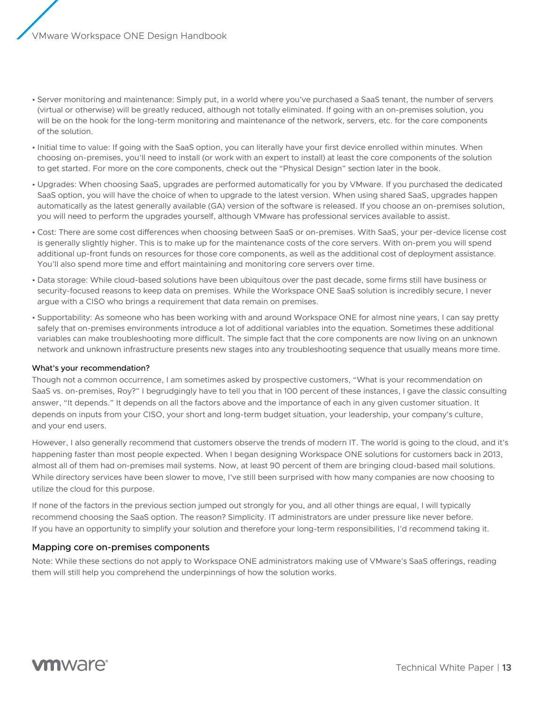- <span id="page-12-0"></span>• Server monitoring and maintenance: Simply put, in a world where you've purchased a SaaS tenant, the number of servers (virtual or otherwise) will be greatly reduced, although not totally eliminated. If going with an on-premises solution, you will be on the hook for the long-term monitoring and maintenance of the network, servers, etc. for the core components of the solution.
- Initial time to value: If going with the SaaS option, you can literally have your first device enrolled within minutes. When choosing on-premises, you'll need to install (or work with an expert to install) at least the core components of the solution to get started. For more on the core components, check out the "Physical Design" section later in the book.
- Upgrades: When choosing SaaS, upgrades are performed automatically for you by VMware. If you purchased the dedicated SaaS option, you will have the choice of when to upgrade to the latest version. When using shared SaaS, upgrades happen automatically as the latest generally available (GA) version of the software is released. If you choose an on-premises solution, you will need to perform the upgrades yourself, although VMware has professional services available to assist.
- Cost: There are some cost differences when choosing between SaaS or on-premises. With SaaS, your per-device license cost is generally slightly higher. This is to make up for the maintenance costs of the core servers. With on-prem you will spend additional up-front funds on resources for those core components, as well as the additional cost of deployment assistance. You'll also spend more time and effort maintaining and monitoring core servers over time.
- Data storage: While cloud-based solutions have been ubiquitous over the past decade, some firms still have business or security-focused reasons to keep data on premises. While the Workspace ONE SaaS solution is incredibly secure, I never argue with a CISO who brings a requirement that data remain on premises.
- Supportability: As someone who has been working with and around Workspace ONE for almost nine years, I can say pretty safely that on-premises environments introduce a lot of additional variables into the equation. Sometimes these additional variables can make troubleshooting more difficult. The simple fact that the core components are now living on an unknown network and unknown infrastructure presents new stages into any troubleshooting sequence that usually means more time.

# What's your recommendation?

Though not a common occurrence, I am sometimes asked by prospective customers, "What is your recommendation on SaaS vs. on-premises, Roy?" I begrudgingly have to tell you that in 100 percent of these instances, I gave the classic consulting answer, "It depends." It depends on all the factors above and the importance of each in any given customer situation. It depends on inputs from your CISO, your short and long-term budget situation, your leadership, your company's culture, and your end users.

However, I also generally recommend that customers observe the trends of modern IT. The world is going to the cloud, and it's happening faster than most people expected. When I began designing Workspace ONE solutions for customers back in 2013, almost all of them had on-premises mail systems. Now, at least 90 percent of them are bringing cloud-based mail solutions. While directory services have been slower to move, I've still been surprised with how many companies are now choosing to utilize the cloud for this purpose.

If none of the factors in the previous section jumped out strongly for you, and all other things are equal, I will typically recommend choosing the SaaS option. The reason? Simplicity. IT administrators are under pressure like never before. If you have an opportunity to simplify your solution and therefore your long-term responsibilities, I'd recommend taking it.

# Mapping core on-premises components

Note: While these sections do not apply to Workspace ONE administrators making use of VMware's SaaS offerings, reading them will still help you comprehend the underpinnings of how the solution works.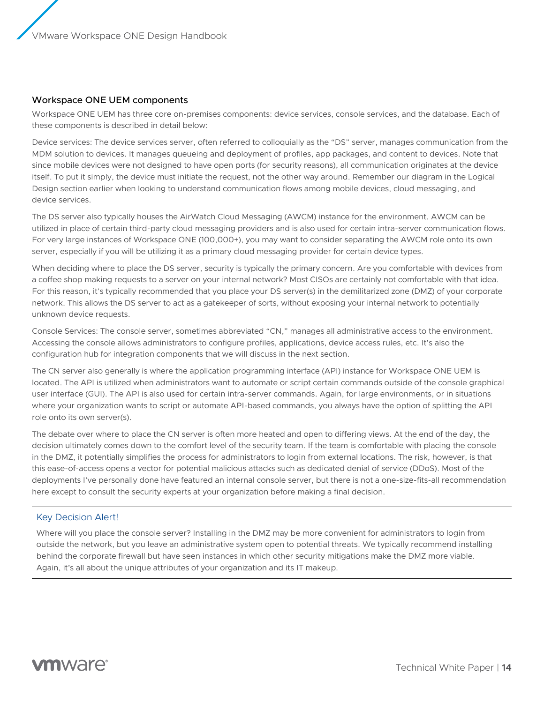### <span id="page-13-0"></span>Workspace ONE UEM components

Workspace ONE UEM has three core on-premises components: device services, console services, and the database. Each of these components is described in detail below:

Device services: The device services server, often referred to colloquially as the "DS" server, manages communication from the MDM solution to devices. It manages queueing and deployment of profiles, app packages, and content to devices. Note that since mobile devices were not designed to have open ports (for security reasons), all communication originates at the device itself. To put it simply, the device must initiate the request, not the other way around. Remember our diagram in the Logical Design section earlier when looking to understand communication flows among mobile devices, cloud messaging, and device services.

The DS server also typically houses the AirWatch Cloud Messaging (AWCM) instance for the environment. AWCM can be utilized in place of certain third-party cloud messaging providers and is also used for certain intra-server communication flows. For very large instances of Workspace ONE (100,000+), you may want to consider separating the AWCM role onto its own server, especially if you will be utilizing it as a primary cloud messaging provider for certain device types.

When deciding where to place the DS server, security is typically the primary concern. Are you comfortable with devices from a coffee shop making requests to a server on your internal network? Most CISOs are certainly not comfortable with that idea. For this reason, it's typically recommended that you place your DS server(s) in the demilitarized zone (DMZ) of your corporate network. This allows the DS server to act as a gatekeeper of sorts, without exposing your internal network to potentially unknown device requests.

Console Services: The console server, sometimes abbreviated "CN," manages all administrative access to the environment. Accessing the console allows administrators to configure profiles, applications, device access rules, etc. It's also the configuration hub for integration components that we will discuss in the next section.

The CN server also generally is where the application programming interface (API) instance for Workspace ONE UEM is located. The API is utilized when administrators want to automate or script certain commands outside of the console graphical user interface (GUI). The API is also used for certain intra-server commands. Again, for large environments, or in situations where your organization wants to script or automate API-based commands, you always have the option of splitting the API role onto its own server(s).

The debate over where to place the CN server is often more heated and open to differing views. At the end of the day, the decision ultimately comes down to the comfort level of the security team. If the team is comfortable with placing the console in the DMZ, it potentially simplifies the process for administrators to login from external locations. The risk, however, is that this ease-of-access opens a vector for potential malicious attacks such as dedicated denial of service (DDoS). Most of the deployments I've personally done have featured an internal console server, but there is not a one-size-fits-all recommendation here except to consult the security experts at your organization before making a final decision.

#### Key Decision Alert!

Where will you place the console server? Installing in the DMZ may be more convenient for administrators to login from outside the network, but you leave an administrative system open to potential threats. We typically recommend installing behind the corporate firewall but have seen instances in which other security mitigations make the DMZ more viable. Again, it's all about the unique attributes of your organization and its IT makeup.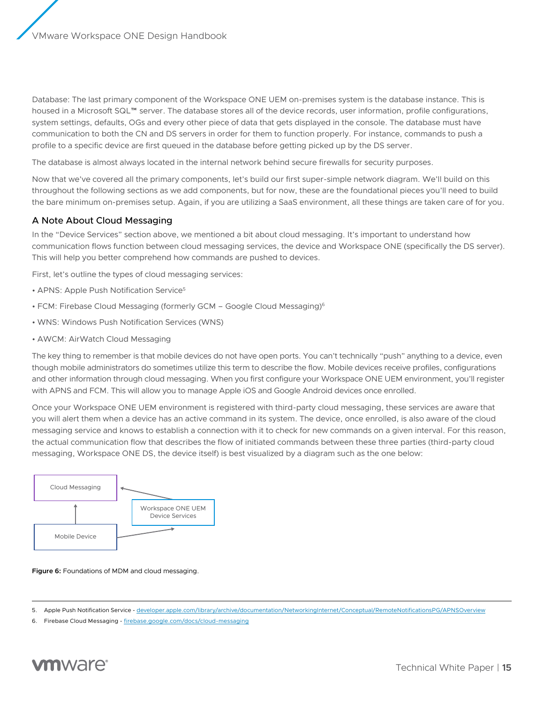<span id="page-14-0"></span>Database: The last primary component of the Workspace ONE UEM on-premises system is the database instance. This is housed in a Microsoft SQL™ server. The database stores all of the device records, user information, profile configurations, system settings, defaults, OGs and every other piece of data that gets displayed in the console. The database must have communication to both the CN and DS servers in order for them to function properly. For instance, commands to push a profile to a specific device are first queued in the database before getting picked up by the DS server.

The database is almost always located in the internal network behind secure firewalls for security purposes.

Now that we've covered all the primary components, let's build our first super-simple network diagram. We'll build on this throughout the following sections as we add components, but for now, these are the foundational pieces you'll need to build the bare minimum on-premises setup. Again, if you are utilizing a SaaS environment, all these things are taken care of for you.

# A Note About Cloud Messaging

In the "Device Services" section above, we mentioned a bit about cloud messaging. It's important to understand how communication flows function between cloud messaging services, the device and Workspace ONE (specifically the DS server). This will help you better comprehend how commands are pushed to devices.

First, let's outline the types of cloud messaging services:

- APNS: Apple Push Notification Service<sup>5</sup>
- FCM: Firebase Cloud Messaging (formerly GCM Google Cloud Messaging)<sup>6</sup>
- WNS: Windows Push Notification Services (WNS)
- AWCM: AirWatch Cloud Messaging

The key thing to remember is that mobile devices do not have open ports. You can't technically "push" anything to a device, even though mobile administrators do sometimes utilize this term to describe the flow. Mobile devices receive profiles, configurations and other information through cloud messaging. When you first configure your Workspace ONE UEM environment, you'll register with APNS and FCM. This will allow you to manage Apple iOS and Google Android devices once enrolled.

Once your Workspace ONE UEM environment is registered with third-party cloud messaging, these services are aware that you will alert them when a device has an active command in its system. The device, once enrolled, is also aware of the cloud messaging service and knows to establish a connection with it to check for new commands on a given interval. For this reason, the actual communication flow that describes the flow of initiated commands between these three parties (third-party cloud messaging, Workspace ONE DS, the device itself) is best visualized by a diagram such as the one below:



#### **Figure 6:** Foundations of MDM and cloud messaging.

<sup>6.</sup> Firebase Cloud Messaging - [firebase.google.com/docs/cloud-messaging](https://firebase.google.com/docs/cloud-messaging/)



<sup>5.</sup> Apple Push Notification Service - [developer.apple.com/library/archive/documentation/NetworkingInternet/Conceptual/RemoteNotificationsPG/APNSOverview](https://developer.apple.com/library/archive/documentation/NetworkingInternet/Conceptual/RemoteNotificationsPG/APNSOverview.html)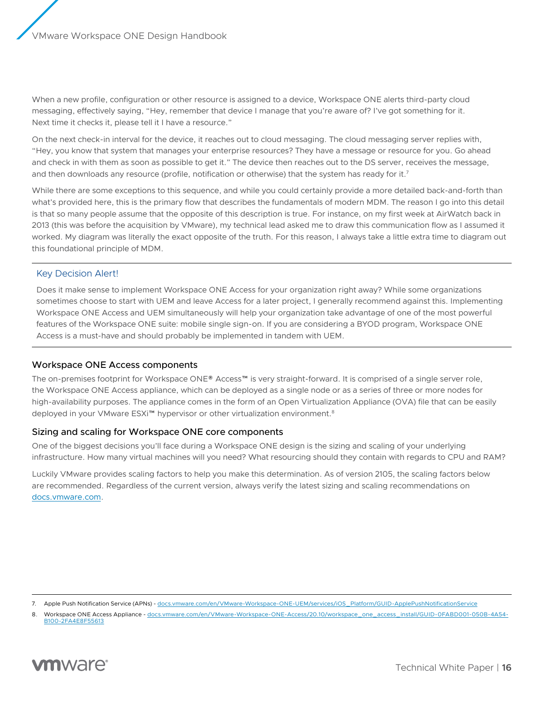<span id="page-15-0"></span>When a new profile, configuration or other resource is assigned to a device, Workspace ONE alerts third-party cloud messaging, effectively saying, "Hey, remember that device I manage that you're aware of? I've got something for it. Next time it checks it, please tell it I have a resource."

On the next check-in interval for the device, it reaches out to cloud messaging. The cloud messaging server replies with, "Hey, you know that system that manages your enterprise resources? They have a message or resource for you. Go ahead and check in with them as soon as possible to get it." The device then reaches out to the DS server, receives the message, and then downloads any resource (profile, notification or otherwise) that the system has ready for it.<sup>7</sup>

While there are some exceptions to this sequence, and while you could certainly provide a more detailed back-and-forth than what's provided here, this is the primary flow that describes the fundamentals of modern MDM. The reason I go into this detail is that so many people assume that the opposite of this description is true. For instance, on my first week at AirWatch back in 2013 (this was before the acquisition by VMware), my technical lead asked me to draw this communication flow as I assumed it worked. My diagram was literally the exact opposite of the truth. For this reason, I always take a little extra time to diagram out this foundational principle of MDM.

# Key Decision Alert!

Does it make sense to implement Workspace ONE Access for your organization right away? While some organizations sometimes choose to start with UEM and leave Access for a later project, I generally recommend against this. Implementing Workspace ONE Access and UEM simultaneously will help your organization take advantage of one of the most powerful features of the Workspace ONE suite: mobile single sign-on. If you are considering a BYOD program, Workspace ONE Access is a must-have and should probably be implemented in tandem with UEM.

# Workspace ONE Access components

The on-premises footprint for Workspace ONE® Access™ is very straight-forward. It is comprised of a single server role, the Workspace ONE Access appliance, which can be deployed as a single node or as a series of three or more nodes for high-availability purposes. The appliance comes in the form of an Open Virtualization Appliance (OVA) file that can be easily deployed in your VMware ESXi<sup>™</sup> hypervisor or other virtualization environment.<sup>8</sup>

# Sizing and scaling for Workspace ONE core components

One of the biggest decisions you'll face during a Workspace ONE design is the sizing and scaling of your underlying infrastructure. How many virtual machines will you need? What resourcing should they contain with regards to CPU and RAM?

Luckily VMware provides scaling factors to help you make this determination. As of version 2105, the scaling factors below are recommended. Regardless of the current version, always verify the latest sizing and scaling recommendations on [docs.vmware.com.](https://docs.vmware.com/)

<sup>8.</sup> Workspace ONE Access Appliance - [docs.vmware.com/en/VMware-Workspace-ONE-Access/20.10/workspace\\_one\\_access\\_install/GUID-0FABD001-050B-4A54-](https://docs.vmware.com/en/VMware-Workspace-ONE-Access/20.10/workspace_one_access_install/GUID-0FABD001-050B-4A54-B100-2FA4E8F55613.html?hWord=N4IghgNiBcIJYDsDOAXSFEHMAEB3A9gE4DWSADmAMYCm2+CtVNSSIAvkA) [B100-2FA4E8F55613](https://docs.vmware.com/en/VMware-Workspace-ONE-Access/20.10/workspace_one_access_install/GUID-0FABD001-050B-4A54-B100-2FA4E8F55613.html?hWord=N4IghgNiBcIJYDsDOAXSFEHMAEB3A9gE4DWSADmAMYCm2+CtVNSSIAvkA)



<sup>7.</sup> Apple Push Notification Service (APNs) - [docs.vmware.com/en/VMware-Workspace-ONE-UEM/services/iOS\\_Platform/GUID-ApplePushNotificationService](https://docs.vmware.com/en/VMware-Workspace-ONE-UEM/services/iOS_Platform/GUID-ApplePushNotificationService.html?hWord=N4IghgNiBcIO4HsBOBrAzgBzAYwKYAIEA7AgE1wDcBLPfNXJavNEAXyA)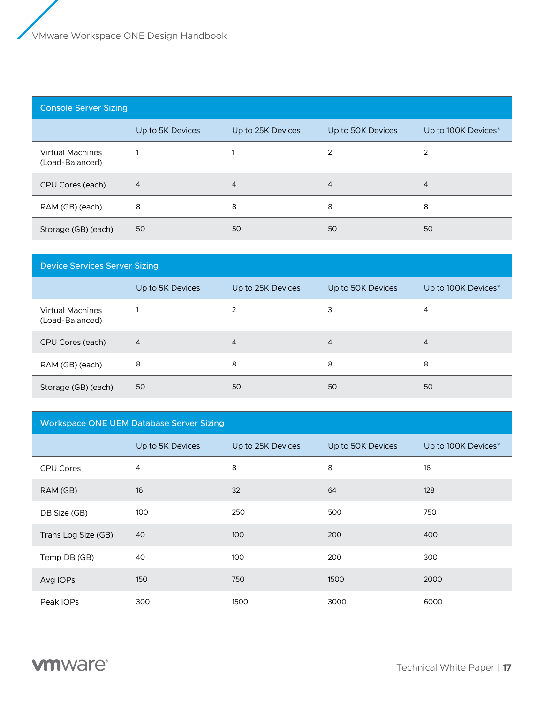| <b>Console Server Sizing</b>               |                  |                   |                   |                     |  |  |  |
|--------------------------------------------|------------------|-------------------|-------------------|---------------------|--|--|--|
|                                            | Up to 5K Devices | Up to 25K Devices | Up to 50K Devices | Up to 100K Devices* |  |  |  |
| <b>Virtual Machines</b><br>(Load-Balanced) |                  |                   | $\overline{2}$    | 2                   |  |  |  |
| CPU Cores (each)                           | 4                | $\overline{4}$    | $\overline{4}$    | 4                   |  |  |  |
| RAM (GB) (each)                            | 8                | 8                 | 8                 | 8                   |  |  |  |
| Storage (GB) (each)                        | 50               | 50                | 50                | 50                  |  |  |  |

| <b>Device Services Server Sizing</b>       |                  |                   |                   |                     |  |  |  |
|--------------------------------------------|------------------|-------------------|-------------------|---------------------|--|--|--|
|                                            | Up to 5K Devices | Up to 25K Devices | Up to 50K Devices | Up to 100K Devices* |  |  |  |
| <b>Virtual Machines</b><br>(Load-Balanced) |                  | $\overline{2}$    | 3                 | 4                   |  |  |  |
| CPU Cores (each)                           | $\overline{4}$   | $\overline{4}$    | $\overline{4}$    | 4                   |  |  |  |
| RAM (GB) (each)                            | 8                | 8                 | 8                 | 8                   |  |  |  |
| Storage (GB) (each)                        | 50               | 50                | 50                | 50                  |  |  |  |

| <b>Workspace ONE UEM Database Server Sizing</b> |                  |                   |                   |                     |  |  |  |
|-------------------------------------------------|------------------|-------------------|-------------------|---------------------|--|--|--|
|                                                 | Up to 5K Devices | Up to 25K Devices | Up to 50K Devices | Up to 100K Devices* |  |  |  |
| CPU Cores                                       | 4                | 8                 | 8                 | 16                  |  |  |  |
| RAM (GB)                                        | 16               | 32                | 64                | 128                 |  |  |  |
| DB Size (GB)                                    | 100              | 250               | 500               | 750                 |  |  |  |
| Trans Log Size (GB)                             | 40               | 100               | 200               | 400                 |  |  |  |
| Temp DB (GB)                                    | 40               | 100               | 200               | 300                 |  |  |  |
| Avg IOPs                                        | 150              | 750               | 1500              | 2000                |  |  |  |
| Peak IOPs                                       | 300              | 1500              | 3000              | 6000                |  |  |  |

**vm**ware<sup>®</sup>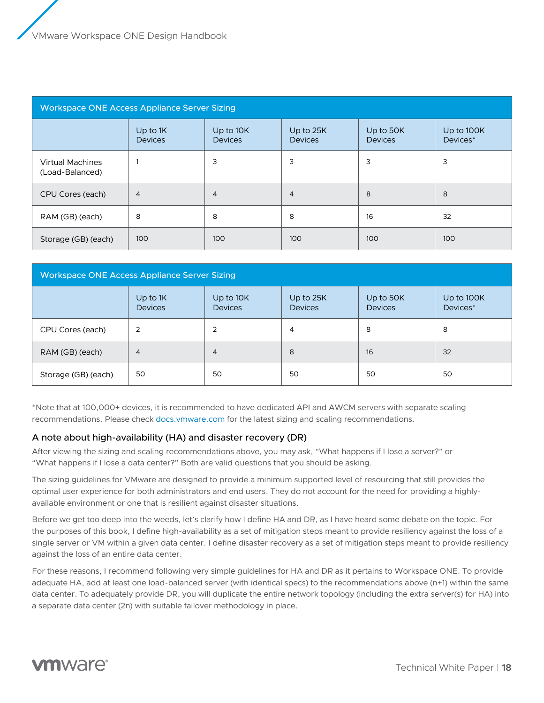<span id="page-17-0"></span>

| <b>Workspace ONE Access Appliance Server Sizing</b> |                            |                             |                             |                             |                        |  |  |
|-----------------------------------------------------|----------------------------|-----------------------------|-----------------------------|-----------------------------|------------------------|--|--|
|                                                     | Up to 1K<br><b>Devices</b> | Up to 10K<br><b>Devices</b> | Up to 25K<br><b>Devices</b> | Up to 50K<br><b>Devices</b> | Up to 100K<br>Devices* |  |  |
| <b>Virtual Machines</b><br>(Load-Balanced)          |                            | 3                           | 3                           | 3                           | 3                      |  |  |
| CPU Cores (each)                                    | $\overline{4}$             | $\overline{4}$              | $\overline{4}$              | 8                           | 8                      |  |  |
| RAM (GB) (each)                                     | 8                          | 8                           | 8                           | 16                          | 32                     |  |  |
| Storage (GB) (each)                                 | 100                        | 100                         | 100                         | 100                         | 100                    |  |  |

| <b>Workspace ONE Access Appliance Server Sizing</b> |                              |                             |                             |                             |                        |  |  |
|-----------------------------------------------------|------------------------------|-----------------------------|-----------------------------|-----------------------------|------------------------|--|--|
|                                                     | Up to $1K$<br><b>Devices</b> | Up to 10K<br><b>Devices</b> | Up to 25K<br><b>Devices</b> | Up to 50K<br><b>Devices</b> | Up to 100K<br>Devices* |  |  |
| CPU Cores (each)                                    | $\overline{2}$               | $\overline{2}$              | 4                           | 8                           | 8                      |  |  |
| RAM (GB) (each)                                     | 4                            | $\overline{4}$              | 8                           | 16                          | 32                     |  |  |
| Storage (GB) (each)                                 | 50                           | 50                          | 50                          | 50                          | 50                     |  |  |

\*Note that at 100,000+ devices, it is recommended to have dedicated API and AWCM servers with separate scaling recommendations. Please check<docs.vmware.com> for the latest sizing and scaling recommendations.

# A note about high-availability (HA) and disaster recovery (DR)

After viewing the sizing and scaling recommendations above, you may ask, "What happens if I lose a server?" or "What happens if I lose a data center?" Both are valid questions that you should be asking.

The sizing guidelines for VMware are designed to provide a minimum supported level of resourcing that still provides the optimal user experience for both administrators and end users. They do not account for the need for providing a highlyavailable environment or one that is resilient against disaster situations.

Before we get too deep into the weeds, let's clarify how I define HA and DR, as I have heard some debate on the topic. For the purposes of this book, I define high-availability as a set of mitigation steps meant to provide resiliency against the loss of a single server or VM within a given data center. I define disaster recovery as a set of mitigation steps meant to provide resiliency against the loss of an entire data center.

For these reasons, I recommend following very simple guidelines for HA and DR as it pertains to Workspace ONE. To provide adequate HA, add at least one load-balanced server (with identical specs) to the recommendations above (n+1) within the same data center. To adequately provide DR, you will duplicate the entire network topology (including the extra server(s) for HA) into a separate data center (2n) with suitable failover methodology in place.

# **vm**ware<sup>®</sup>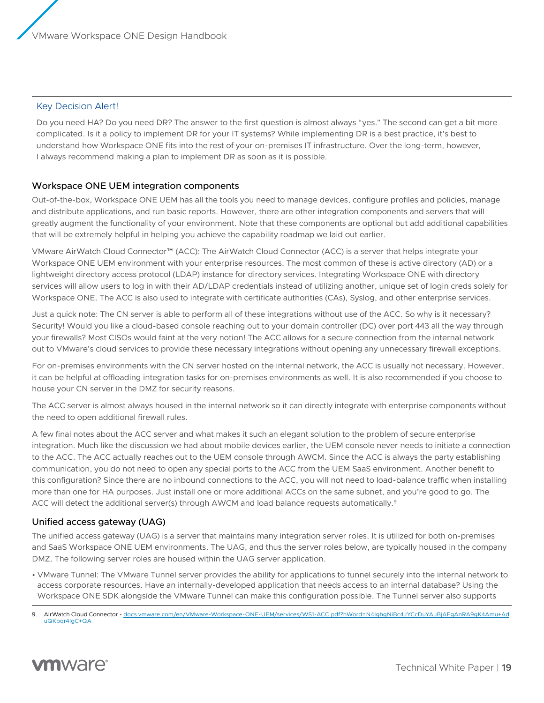# <span id="page-18-0"></span>Key Decision Alert!

Do you need HA? Do you need DR? The answer to the first question is almost always "yes." The second can get a bit more complicated. Is it a policy to implement DR for your IT systems? While implementing DR is a best practice, it's best to understand how Workspace ONE fits into the rest of your on-premises IT infrastructure. Over the long-term, however, I always recommend making a plan to implement DR as soon as it is possible.

# Workspace ONE UEM integration components

Out-of-the-box, Workspace ONE UEM has all the tools you need to manage devices, configure profiles and policies, manage and distribute applications, and run basic reports. However, there are other integration components and servers that will greatly augment the functionality of your environment. Note that these components are optional but add additional capabilities that will be extremely helpful in helping you achieve the capability roadmap we laid out earlier.

VMware AirWatch Cloud Connector™ (ACC): The AirWatch Cloud Connector (ACC) is a server that helps integrate your Workspace ONE UEM environment with your enterprise resources. The most common of these is active directory (AD) or a lightweight directory access protocol (LDAP) instance for directory services. Integrating Workspace ONE with directory services will allow users to log in with their AD/LDAP credentials instead of utilizing another, unique set of login creds solely for Workspace ONE. The ACC is also used to integrate with certificate authorities (CAs), Syslog, and other enterprise services.

Just a quick note: The CN server is able to perform all of these integrations without use of the ACC. So why is it necessary? Security! Would you like a cloud-based console reaching out to your domain controller (DC) over port 443 all the way through your firewalls? Most CISOs would faint at the very notion! The ACC allows for a secure connection from the internal network out to VMware's cloud services to provide these necessary integrations without opening any unnecessary firewall exceptions.

For on-premises environments with the CN server hosted on the internal network, the ACC is usually not necessary. However, it can be helpful at offloading integration tasks for on-premises environments as well. It is also recommended if you choose to house your CN server in the DMZ for security reasons.

The ACC server is almost always housed in the internal network so it can directly integrate with enterprise components without the need to open additional firewall rules.

A few final notes about the ACC server and what makes it such an elegant solution to the problem of secure enterprise integration. Much like the discussion we had about mobile devices earlier, the UEM console never needs to initiate a connection to the ACC. The ACC actually reaches out to the UEM console through AWCM. Since the ACC is always the party establishing communication, you do not need to open any special ports to the ACC from the UEM SaaS environment. Another benefit to this configuration? Since there are no inbound connections to the ACC, you will not need to load-balance traffic when installing more than one for HA purposes. Just install one or more additional ACCs on the same subnet, and you're good to go. The ACC will detect the additional server(s) through AWCM and load balance requests automatically.<sup>9</sup>

# Unified access gateway (UAG)

The unified access gateway (UAG) is a server that maintains many integration server roles. It is utilized for both on-premises and SaaS Workspace ONE UEM environments. The UAG, and thus the server roles below, are typically housed in the company DMZ. The following server roles are housed within the UAG server application.

• VMware Tunnel: The VMware Tunnel server provides the ability for applications to tunnel securely into the internal network to access corporate resources. Have an internally-developed application that needs access to an internal database? Using the Workspace ONE SDK alongside the VMware Tunnel can make this configuration possible. The Tunnel server also supports

<sup>9.</sup> AirWatch Cloud Connector - [docs.vmware.com/en/VMware-Workspace-ONE-UEM/services/WS1-ACC.pdf?hWord=N4IghgNiBc4JYCcDuYAuBjAFgAnRA9gK4Amu+Ad](https://docs.vmware.com/en/VMware-Workspace-ONE-UEM/services/WS1-ACC.pdf?hWord=N4IghgNiBc4JYCcDuYAuBjAFgAnRA9gK4Amu+AduQKbqr4IgC+QA) [uQKbqr4IgC+QA](https://docs.vmware.com/en/VMware-Workspace-ONE-UEM/services/WS1-ACC.pdf?hWord=N4IghgNiBc4JYCcDuYAuBjAFgAnRA9gK4Amu+AduQKbqr4IgC+QA) 

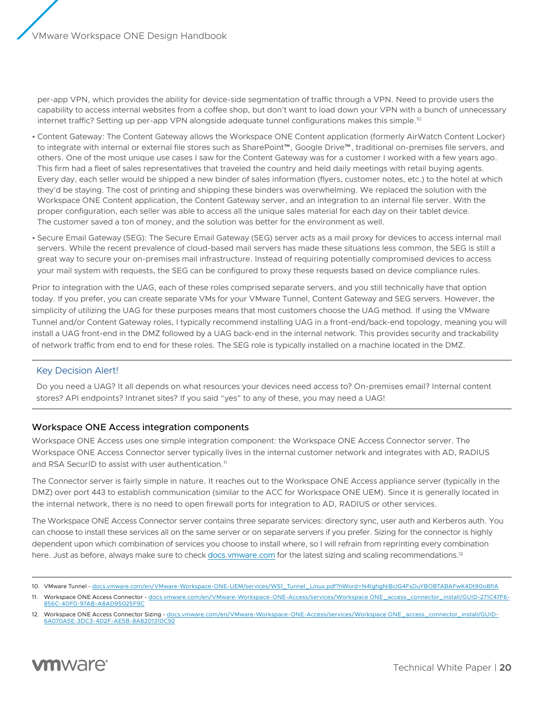<span id="page-19-0"></span>per-app VPN, which provides the ability for device-side segmentation of traffic through a VPN. Need to provide users the capability to access internal websites from a coffee shop, but don't want to load down your VPN with a bunch of unnecessary internet traffic? Setting up per-app VPN alongside adequate tunnel configurations makes this simple.<sup>10</sup>

- Content Gateway: The Content Gateway allows the Workspace ONE Content application (formerly AirWatch Content Locker) to integrate with internal or external file stores such as SharePoint™, Google Drive™, traditional on-premises file servers, and others. One of the most unique use cases I saw for the Content Gateway was for a customer I worked with a few years ago. This firm had a fleet of sales representatives that traveled the country and held daily meetings with retail buying agents. Every day, each seller would be shipped a new binder of sales information (flyers, customer notes, etc.) to the hotel at which they'd be staying. The cost of printing and shipping these binders was overwhelming. We replaced the solution with the Workspace ONE Content application, the Content Gateway server, and an integration to an internal file server. With the proper configuration, each seller was able to access all the unique sales material for each day on their tablet device. The customer saved a ton of money, and the solution was better for the environment as well.
- Secure Email Gateway (SEG): The Secure Email Gateway (SEG) server acts as a mail proxy for devices to access internal mail servers. While the recent prevalence of cloud-based mail servers has made these situations less common, the SEG is still a great way to secure your on-premises mail infrastructure. Instead of requiring potentially compromised devices to access your mail system with requests, the SEG can be configured to proxy these requests based on device compliance rules.

Prior to integration with the UAG, each of these roles comprised separate servers, and you still technically have that option today. If you prefer, you can create separate VMs for your VMware Tunnel, Content Gateway and SEG servers. However, the simplicity of utilizing the UAG for these purposes means that most customers choose the UAG method. If using the VMware Tunnel and/or Content Gateway roles, I typically recommend installing UAG in a front-end/back-end topology, meaning you will install a UAG front-end in the DMZ followed by a UAG back-end in the internal network. This provides security and trackability of network traffic from end to end for these roles. The SEG role is typically installed on a machine located in the DMZ.

# Key Decision Alert!

Do you need a UAG? It all depends on what resources your devices need access to? On-premises email? Internal content stores? API endpoints? Intranet sites? If you said "yes" to any of these, you may need a UAG!

# Workspace ONE Access integration components

Workspace ONE Access uses one simple integration component: the Workspace ONE Access Connector server. The Workspace ONE Access Connector server typically lives in the internal customer network and integrates with AD, RADIUS and RSA SecurID to assist with user authentication.<sup>11</sup>

The Connector server is fairly simple in nature. It reaches out to the Workspace ONE Access appliance server (typically in the DMZ) over port 443 to establish communication (similar to the ACC for Workspace ONE UEM). Since it is generally located in the internal network, there is no need to open firewall ports for integration to AD, RADIUS or other services.

The Workspace ONE Access Connector server contains three separate services: directory sync, user auth and Kerberos auth. You can choose to install these services all on the same server or on separate servers if you prefer. Sizing for the connector is highly dependent upon which combination of services you choose to install where, so I will refrain from reprinting every combination here. Just as before, always make sure to check<docs.vmware.com>for the latest sizing and scaling recommendations.<sup>12</sup>

<sup>12.</sup> Workspace ONE Access Connector Sizing - [docs.vmware.com/en/VMware-Workspace-ONE-Access/services/Workspace ONE\\_access\\_connector\\_install/GUID-](https://docs.vmware.com/en/VMware-Workspace-ONE-Access/21.08/ws1_access_connector_install/GUID-6A070A5E-3DC3-4D2F-AE5B-8A8201310C92.html)[6A070A5E-3DC3-4D2F-AE5B-8A8201310C92](https://docs.vmware.com/en/VMware-Workspace-ONE-Access/21.08/ws1_access_connector_install/GUID-6A070A5E-3DC3-4D2F-AE5B-8A8201310C92.html)



<sup>10.</sup> VMware Tunnel - [docs.vmware.com/en/VMware-Workspace-ONE-UEM/services/WS1\\_Tunnel\\_Linux.pdf?hWord=N4IghgNiBcIG4FsDuYBOBTABAFwK4Dt90oBfIA](https://docs.vmware.com/en/VMware-Workspace-ONE-UEM/services/WS1_Tunnel_Linux.pdf?hWord=N4IghgNiBcIG4FsDuYBOBTABAFwK4Dt90oBfIA)

<sup>11.</sup> Workspace ONE Access Connector - [docs.vmware.com/en/VMware-Workspace-ONE-Access/services/Workspace ONE\\_access\\_connector\\_install/GUID-271C47F6-](https://docs.vmware.com/en/VMware-Workspace-ONE-Access/21.08/ws1_access_connector_install/GUID-271C47F6-856C-40F0-97AB-A8AD95025F9C.html) [856C-40F0-97AB-A8AD95025F9C](https://docs.vmware.com/en/VMware-Workspace-ONE-Access/21.08/ws1_access_connector_install/GUID-271C47F6-856C-40F0-97AB-A8AD95025F9C.html)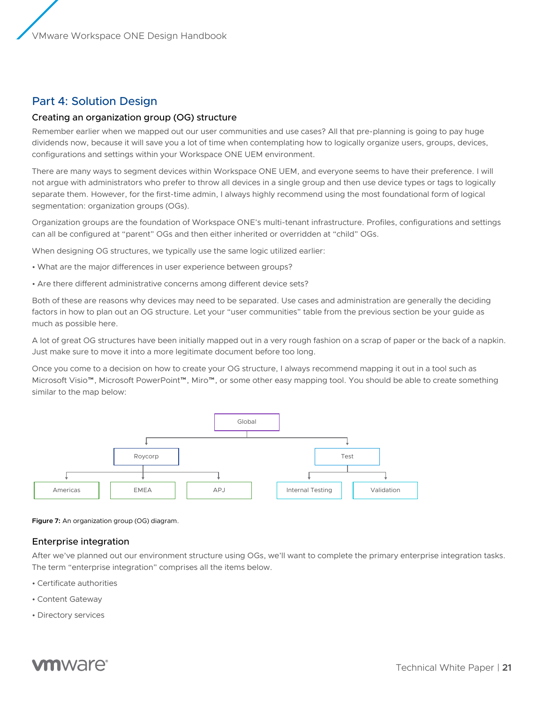# <span id="page-20-0"></span>Part 4: Solution Design

# Creating an organization group (OG) structure

Remember earlier when we mapped out our user communities and use cases? All that pre-planning is going to pay huge dividends now, because it will save you a lot of time when contemplating how to logically organize users, groups, devices, configurations and settings within your Workspace ONE UEM environment.

There are many ways to segment devices within Workspace ONE UEM, and everyone seems to have their preference. I will not argue with administrators who prefer to throw all devices in a single group and then use device types or tags to logically separate them. However, for the first-time admin, I always highly recommend using the most foundational form of logical segmentation: organization groups (OGs).

Organization groups are the foundation of Workspace ONE's multi-tenant infrastructure. Profiles, configurations and settings can all be configured at "parent" OGs and then either inherited or overridden at "child" OGs.

When designing OG structures, we typically use the same logic utilized earlier:

- What are the major differences in user experience between groups?
- Are there different administrative concerns among different device sets?

Both of these are reasons why devices may need to be separated. Use cases and administration are generally the deciding factors in how to plan out an OG structure. Let your "user communities" table from the previous section be your guide as much as possible here.

A lot of great OG structures have been initially mapped out in a very rough fashion on a scrap of paper or the back of a napkin. Just make sure to move it into a more legitimate document before too long.

Once you come to a decision on how to create your OG structure, I always recommend mapping it out in a tool such as Microsoft Visio™, Microsoft PowerPoint™, Miro™, or some other easy mapping tool. You should be able to create something similar to the map below:



**Figure 7:** An organization group (OG) diagram.

# Enterprise integration

After we've planned out our environment structure using OGs, we'll want to complete the primary enterprise integration tasks. The term "enterprise integration" comprises all the items below.

- Certificate authorities
- Content Gateway
- Directory services

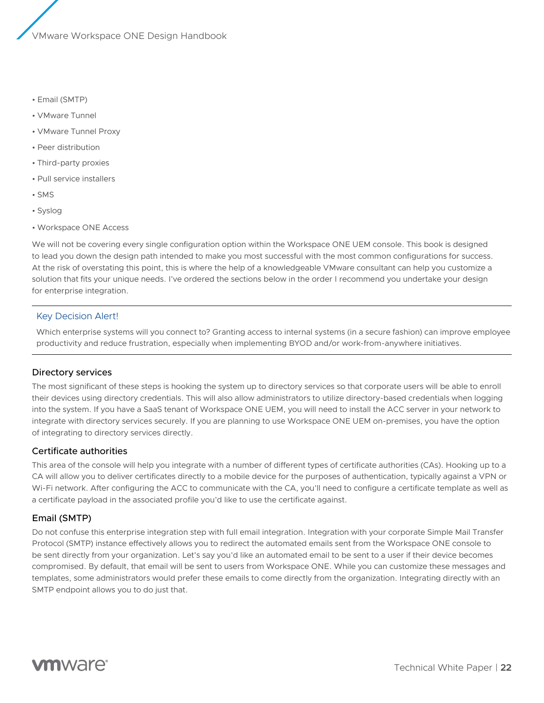- <span id="page-21-0"></span>• Email (SMTP)
- VMware Tunnel
- VMware Tunnel Proxy
- Peer distribution
- Third-party proxies
- Pull service installers
- SMS
- Syslog
- Workspace ONE Access

We will not be covering every single configuration option within the Workspace ONE UEM console. This book is designed to lead you down the design path intended to make you most successful with the most common configurations for success. At the risk of overstating this point, this is where the help of a knowledgeable VMware consultant can help you customize a solution that fits your unique needs. I've ordered the sections below in the order I recommend you undertake your design for enterprise integration.

#### Key Decision Alert!

Which enterprise systems will you connect to? Granting access to internal systems (in a secure fashion) can improve employee productivity and reduce frustration, especially when implementing BYOD and/or work-from-anywhere initiatives.

#### Directory services

The most significant of these steps is hooking the system up to directory services so that corporate users will be able to enroll their devices using directory credentials. This will also allow administrators to utilize directory-based credentials when logging into the system. If you have a SaaS tenant of Workspace ONE UEM, you will need to install the ACC server in your network to integrate with directory services securely. If you are planning to use Workspace ONE UEM on-premises, you have the option of integrating to directory services directly.

#### Certificate authorities

This area of the console will help you integrate with a number of different types of certificate authorities (CAs). Hooking up to a CA will allow you to deliver certificates directly to a mobile device for the purposes of authentication, typically against a VPN or Wi-Fi network. After configuring the ACC to communicate with the CA, you'll need to configure a certificate template as well as a certificate payload in the associated profile you'd like to use the certificate against.

# Email (SMTP)

Do not confuse this enterprise integration step with full email integration. Integration with your corporate Simple Mail Transfer Protocol (SMTP) instance effectively allows you to redirect the automated emails sent from the Workspace ONE console to be sent directly from your organization. Let's say you'd like an automated email to be sent to a user if their device becomes compromised. By default, that email will be sent to users from Workspace ONE. While you can customize these messages and templates, some administrators would prefer these emails to come directly from the organization. Integrating directly with an SMTP endpoint allows you to do just that.

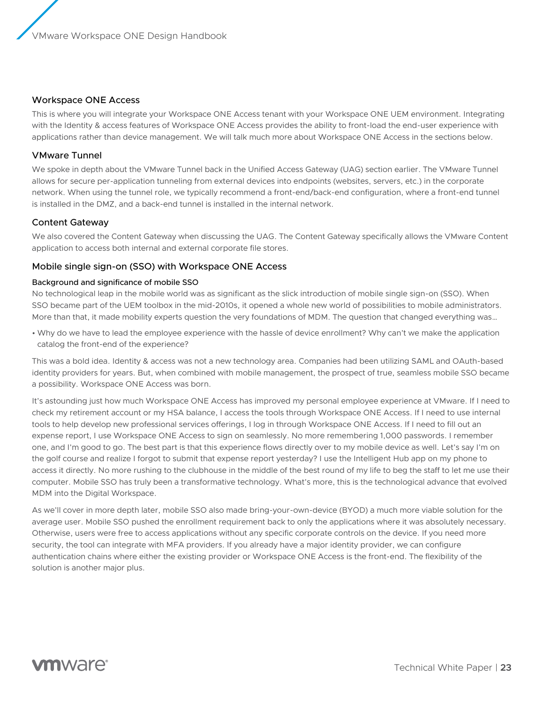# <span id="page-22-0"></span>Workspace ONE Access

This is where you will integrate your Workspace ONE Access tenant with your Workspace ONE UEM environment. Integrating with the Identity & access features of Workspace ONE Access provides the ability to front-load the end-user experience with applications rather than device management. We will talk much more about Workspace ONE Access in the sections below.

# VMware Tunnel

We spoke in depth about the VMware Tunnel back in the Unified Access Gateway (UAG) section earlier. The VMware Tunnel allows for secure per-application tunneling from external devices into endpoints (websites, servers, etc.) in the corporate network. When using the tunnel role, we typically recommend a front-end/back-end configuration, where a front-end tunnel is installed in the DMZ, and a back-end tunnel is installed in the internal network.

# Content Gateway

We also covered the Content Gateway when discussing the UAG. The Content Gateway specifically allows the VMware Content application to access both internal and external corporate file stores.

# Mobile single sign-on (SSO) with Workspace ONE Access

#### Background and significance of mobile SSO

No technological leap in the mobile world was as significant as the slick introduction of mobile single sign-on (SSO). When SSO became part of the UEM toolbox in the mid-2010s, it opened a whole new world of possibilities to mobile administrators. More than that, it made mobility experts question the very foundations of MDM. The question that changed everything was…

• Why do we have to lead the employee experience with the hassle of device enrollment? Why can't we make the application catalog the front-end of the experience?

This was a bold idea. Identity & access was not a new technology area. Companies had been utilizing SAML and OAuth-based identity providers for years. But, when combined with mobile management, the prospect of true, seamless mobile SSO became a possibility. Workspace ONE Access was born.

It's astounding just how much Workspace ONE Access has improved my personal employee experience at VMware. If I need to check my retirement account or my HSA balance, I access the tools through Workspace ONE Access. If I need to use internal tools to help develop new professional services offerings, I log in through Workspace ONE Access. If I need to fill out an expense report, I use Workspace ONE Access to sign on seamlessly. No more remembering 1,000 passwords. I remember one, and I'm good to go. The best part is that this experience flows directly over to my mobile device as well. Let's say I'm on the golf course and realize I forgot to submit that expense report yesterday? I use the Intelligent Hub app on my phone to access it directly. No more rushing to the clubhouse in the middle of the best round of my life to beg the staff to let me use their computer. Mobile SSO has truly been a transformative technology. What's more, this is the technological advance that evolved MDM into the Digital Workspace.

As we'll cover in more depth later, mobile SSO also made bring-your-own-device (BYOD) a much more viable solution for the average user. Mobile SSO pushed the enrollment requirement back to only the applications where it was absolutely necessary. Otherwise, users were free to access applications without any specific corporate controls on the device. If you need more security, the tool can integrate with MFA providers. If you already have a major identity provider, we can configure authentication chains where either the existing provider or Workspace ONE Access is the front-end. The flexibility of the solution is another major plus.

# **vm**ware<sup>®</sup>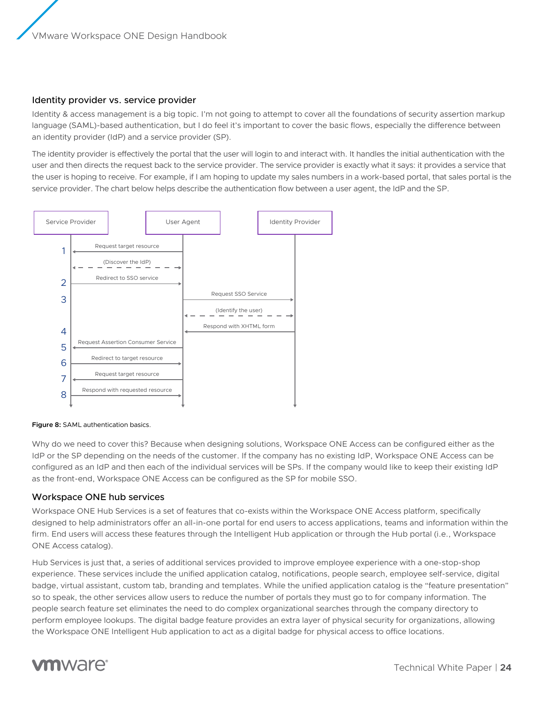# <span id="page-23-0"></span>Identity provider vs. service provider

Identity & access management is a big topic. I'm not going to attempt to cover all the foundations of security assertion markup language (SAML)-based authentication, but I do feel it's important to cover the basic flows, especially the difference between an identity provider (IdP) and a service provider (SP).

The identity provider is effectively the portal that the user will login to and interact with. It handles the initial authentication with the user and then directs the request back to the service provider. The service provider is exactly what it says: it provides a service that the user is hoping to receive. For example, if I am hoping to update my sales numbers in a work-based portal, that sales portal is the service provider. The chart below helps describe the authentication flow between a user agent, the IdP and the SP.



#### **Figure 8:** SAML authentication basics.

Why do we need to cover this? Because when designing solutions, Workspace ONE Access can be configured either as the IdP or the SP depending on the needs of the customer. If the company has no existing IdP, Workspace ONE Access can be configured as an IdP and then each of the individual services will be SPs. If the company would like to keep their existing IdP as the front-end, Workspace ONE Access can be configured as the SP for mobile SSO.

# Workspace ONE hub services

Workspace ONE Hub Services is a set of features that co-exists within the Workspace ONE Access platform, specifically designed to help administrators offer an all-in-one portal for end users to access applications, teams and information within the firm. End users will access these features through the Intelligent Hub application or through the Hub portal (i.e., Workspace ONE Access catalog).

Hub Services is just that, a series of additional services provided to improve employee experience with a one-stop-shop experience. These services include the unified application catalog, notifications, people search, employee self-service, digital badge, virtual assistant, custom tab, branding and templates. While the unified application catalog is the "feature presentation" so to speak, the other services allow users to reduce the number of portals they must go to for company information. The people search feature set eliminates the need to do complex organizational searches through the company directory to perform employee lookups. The digital badge feature provides an extra layer of physical security for organizations, allowing the Workspace ONE Intelligent Hub application to act as a digital badge for physical access to office locations.

# **vm**ware<sup>®</sup>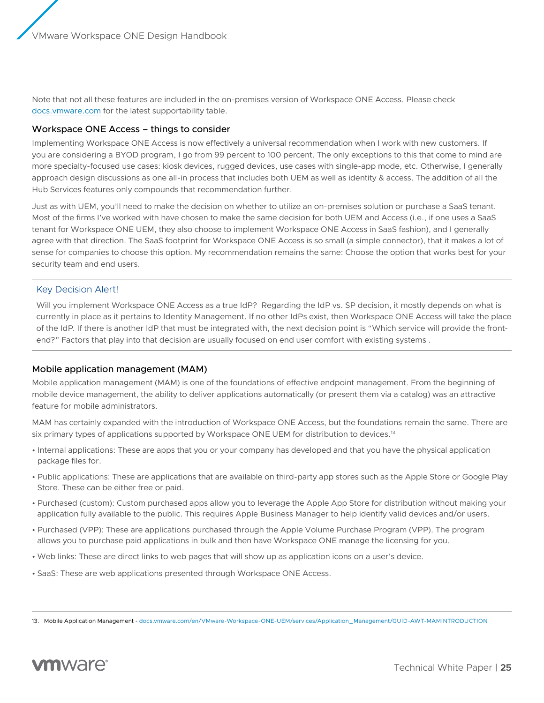<span id="page-24-0"></span>Note that not all these features are included in the on-premises version of Workspace ONE Access. Please check [docs.vmware.com](https://docs.vmware.com/) for the latest supportability table.

#### Workspace ONE Access – things to consider

Implementing Workspace ONE Access is now effectively a universal recommendation when I work with new customers. If you are considering a BYOD program, I go from 99 percent to 100 percent. The only exceptions to this that come to mind are more specialty-focused use cases: kiosk devices, rugged devices, use cases with single-app mode, etc. Otherwise, I generally approach design discussions as one all-in process that includes both UEM as well as identity & access. The addition of all the Hub Services features only compounds that recommendation further.

Just as with UEM, you'll need to make the decision on whether to utilize an on-premises solution or purchase a SaaS tenant. Most of the firms I've worked with have chosen to make the same decision for both UEM and Access (i.e., if one uses a SaaS tenant for Workspace ONE UEM, they also choose to implement Workspace ONE Access in SaaS fashion), and I generally agree with that direction. The SaaS footprint for Workspace ONE Access is so small (a simple connector), that it makes a lot of sense for companies to choose this option. My recommendation remains the same: Choose the option that works best for your security team and end users.

#### Key Decision Alert!

Will you implement Workspace ONE Access as a true IdP? Regarding the IdP vs. SP decision, it mostly depends on what is currently in place as it pertains to Identity Management. If no other IdPs exist, then Workspace ONE Access will take the place of the IdP. If there is another IdP that must be integrated with, the next decision point is "Which service will provide the frontend?" Factors that play into that decision are usually focused on end user comfort with existing systems.

# Mobile application management (MAM)

Mobile application management (MAM) is one of the foundations of effective endpoint management. From the beginning of mobile device management, the ability to deliver applications automatically (or present them via a catalog) was an attractive feature for mobile administrators.

MAM has certainly expanded with the introduction of Workspace ONE Access, but the foundations remain the same. There are six primary types of applications supported by Workspace ONE UEM for distribution to devices.<sup>13</sup>

- Internal applications: These are apps that you or your company has developed and that you have the physical application package files for.
- Public applications: These are applications that are available on third-party app stores such as the Apple Store or Google Play Store. These can be either free or paid.
- Purchased (custom): Custom purchased apps allow you to leverage the Apple App Store for distribution without making your application fully available to the public. This requires Apple Business Manager to help identify valid devices and/or users.
- Purchased (VPP): These are applications purchased through the Apple Volume Purchase Program (VPP). The program allows you to purchase paid applications in bulk and then have Workspace ONE manage the licensing for you.
- Web links: These are direct links to web pages that will show up as application icons on a user's device.
- SaaS: These are web applications presented through Workspace ONE Access.

<sup>13.</sup> Mobile Application Management - [docs.vmware.com/en/VMware-Workspace-ONE-UEM/services/Application\\_Management/GUID-AWT-MAMINTRODUCTION](https://docs.vmware.com/en/VMware-Workspace-ONE-UEM/services/Application_Management/GUID-AWT-MAMINTRODUCTION.html?hWord=N4IghgNiBcILYHsBGBLCBTABGADjiKAxmAC4oIB2mcYFYA5unOhSSAL5A)

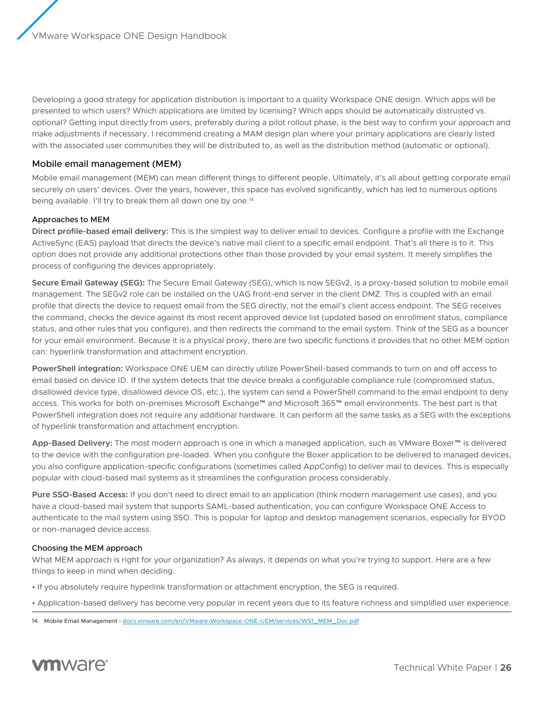<span id="page-25-0"></span>Developing a good strategy for application distribution is important to a quality Workspace ONE design. Which apps will be presented to which users? Which applications are limited by licensing? Which apps should be automatically distrusted vs. optional? Getting input directly from users, preferably during a pilot rollout phase, is the best way to confirm your approach and make adjustments if necessary. I recommend creating a MAM design plan where your primary applications are clearly listed with the associated user communities they will be distributed to, as well as the distribution method (automatic or optional).

# Mobile email management (MEM)

Mobile email management (MEM) can mean different things to different people. Ultimately, it's all about getting corporate email securely on users' devices. Over the years, however, this space has evolved significantly, which has led to numerous options being available. I'll try to break them all down one by one.<sup>14</sup>

# Approaches to MEM

**Direct profile-based email delivery:** This is the simplest way to deliver email to devices. Configure a profile with the Exchange ActiveSync (EAS) payload that directs the device's native mail client to a specific email endpoint. That's all there is to it. This option does not provide any additional protections other than those provided by your email system. It merely simplifies the process of configuring the devices appropriately.

**Secure Email Gateway (SEG):** The Secure Email Gateway (SEG), which is now SEGv2, is a proxy-based solution to mobile email management. The SEGv2 role can be installed on the UAG front-end server in the client DMZ. This is coupled with an email profile that directs the device to request email from the SEG directly, not the email's client access endpoint. The SEG receives the command, checks the device against its most recent approved device list (updated based on enrollment status, compliance status, and other rules that you configure), and then redirects the command to the email system. Think of the SEG as a bouncer for your email environment. Because it is a physical proxy, there are two specific functions it provides that no other MEM option can: hyperlink transformation and attachment encryption.

**PowerShell integration:** Workspace ONE UEM can directly utilize PowerShell-based commands to turn on and off access to email based on device ID. If the system detects that the device breaks a configurable compliance rule (compromised status, disallowed device type, disallowed device OS, etc.), the system can send a PowerShell command to the email endpoint to deny access. This works for both on-premises Microsoft Exchange™ and Microsoft 365™ email environments. The best part is that PowerShell integration does not require any additional hardware. It can perform all the same tasks as a SEG with the exceptions of hyperlink transformation and attachment encryption.

**App-Based Delivery:** The most modern approach is one in which a managed application, such as VMware Boxer™ is delivered to the device with the configuration pre-loaded. When you configure the Boxer application to be delivered to managed devices, you also configure application-specific configurations (sometimes called AppConfig) to deliver mail to devices. This is especially popular with cloud-based mail systems as it streamlines the configuration process considerably.

**Pure SSO-Based Access:** If you don't need to direct email to an application (think modern management use cases), and you have a cloud-based mail system that supports SAML-based authentication, you can configure Workspace ONE Access to authenticate to the mail system using SSO. This is popular for laptop and desktop management scenarios, especially for BYOD or non-managed device access.

#### Choosing the MEM approach

What MEM approach is right for your organization? As always, it depends on what you're trying to support. Here are a few things to keep in mind when deciding.

• If you absolutely require hyperlink transformation or attachment encryption, the SEG is required.

• Application-based delivery has become very popular in recent years due to its feature richness and simplified user experience.

<sup>14.</sup> Mobile Email Management - [docs.vmware.com/en/VMware-Workspace-ONE-UEM/services/WS1\\_MEM\\_Doc.pdf](https://docs.vmware.com/en/VMware-Workspace-ONE-UEM/services/WS1_MEM_Doc.pdf?hWord=N4IghgNiBcILYHsBGBLCBTABOuY2dwDswBzHdQgFxAF8g)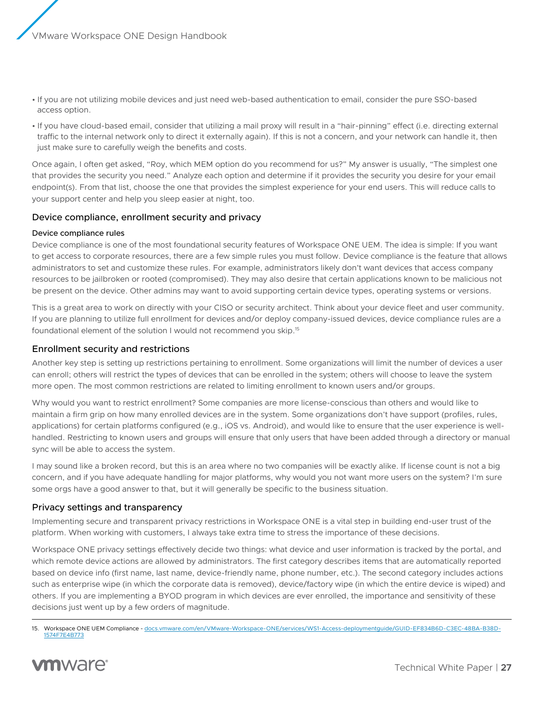- <span id="page-26-0"></span>• If you are not utilizing mobile devices and just need web-based authentication to email, consider the pure SSO-based access option.
- If you have cloud-based email, consider that utilizing a mail proxy will result in a "hair-pinning" effect (i.e. directing external traffic to the internal network only to direct it externally again). If this is not a concern, and your network can handle it, then just make sure to carefully weigh the benefits and costs.

Once again, I often get asked, "Roy, which MEM option do you recommend for us?" My answer is usually, "The simplest one that provides the security you need." Analyze each option and determine if it provides the security you desire for your email endpoint(s). From that list, choose the one that provides the simplest experience for your end users. This will reduce calls to your support center and help you sleep easier at night, too.

# Device compliance, enrollment security and privacy

# Device compliance rules

Device compliance is one of the most foundational security features of Workspace ONE UEM. The idea is simple: If you want to get access to corporate resources, there are a few simple rules you must follow. Device compliance is the feature that allows administrators to set and customize these rules. For example, administrators likely don't want devices that access company resources to be jailbroken or rooted (compromised). They may also desire that certain applications known to be malicious not be present on the device. Other admins may want to avoid supporting certain device types, operating systems or versions.

This is a great area to work on directly with your CISO or security architect. Think about your device fleet and user community. If you are planning to utilize full enrollment for devices and/or deploy company-issued devices, device compliance rules are a foundational element of the solution I would not recommend you skip.15

# Enrollment security and restrictions

Another key step is setting up restrictions pertaining to enrollment. Some organizations will limit the number of devices a user can enroll; others will restrict the types of devices that can be enrolled in the system; others will choose to leave the system more open. The most common restrictions are related to limiting enrollment to known users and/or groups.

Why would you want to restrict enrollment? Some companies are more license-conscious than others and would like to maintain a firm grip on how many enrolled devices are in the system. Some organizations don't have support (profiles, rules, applications) for certain platforms configured (e.g., iOS vs. Android), and would like to ensure that the user experience is wellhandled. Restricting to known users and groups will ensure that only users that have been added through a directory or manual sync will be able to access the system.

I may sound like a broken record, but this is an area where no two companies will be exactly alike. If license count is not a big concern, and if you have adequate handling for major platforms, why would you not want more users on the system? I'm sure some orgs have a good answer to that, but it will generally be specific to the business situation.

# Privacy settings and transparency

Implementing secure and transparent privacy restrictions in Workspace ONE is a vital step in building end-user trust of the platform. When working with customers, I always take extra time to stress the importance of these decisions.

Workspace ONE privacy settings effectively decide two things: what device and user information is tracked by the portal, and which remote device actions are allowed by administrators. The first category describes items that are automatically reported based on device info (first name, last name, device-friendly name, phone number, etc.). The second category includes actions such as enterprise wipe (in which the corporate data is removed), device/factory wipe (in which the entire device is wiped) and others. If you are implementing a BYOD program in which devices are ever enrolled, the importance and sensitivity of these decisions just went up by a few orders of magnitude.

<sup>15.</sup> Workspace ONE UEM Compliance - [docs.vmware.com/en/VMware-Workspace-ONE/services/WS1-Access-deploymentguide/GUID-EF834B6D-C3EC-48BA-B38D-](https://docs.vmware.com/en/VMware-Workspace-ONE/services/WS1-Access-deploymentguide/GUID-EF834B6D-C3EC-48BA-B38D-1574F7E4B773.html?hWord=N4IghgNiBcIO4HsBOBrAzgBzAYwKYAIEA7A7BAWwwgEswi8QBfIA)[1574F7E4B773](https://docs.vmware.com/en/VMware-Workspace-ONE/services/WS1-Access-deploymentguide/GUID-EF834B6D-C3EC-48BA-B38D-1574F7E4B773.html?hWord=N4IghgNiBcIO4HsBOBrAzgBzAYwKYAIEA7A7BAWwwgEswi8QBfIA)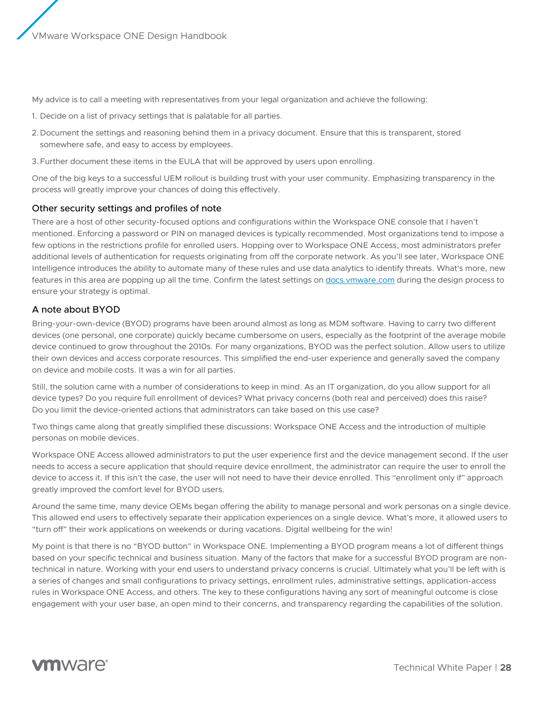<span id="page-27-0"></span>My advice is to call a meeting with representatives from your legal organization and achieve the following:

- 1. Decide on a list of privacy settings that is palatable for all parties.
- 2.Document the settings and reasoning behind them in a privacy document. Ensure that this is transparent, stored somewhere safe, and easy to access by employees.
- 3.Further document these items in the EULA that will be approved by users upon enrolling.

One of the big keys to a successful UEM rollout is building trust with your user community. Emphasizing transparency in the process will greatly improve your chances of doing this effectively.

#### Other security settings and profiles of note

There are a host of other security-focused options and configurations within the Workspace ONE console that I haven't mentioned. Enforcing a password or PIN on managed devices is typically recommended. Most organizations tend to impose a few options in the restrictions profile for enrolled users. Hopping over to Workspace ONE Access, most administrators prefer additional levels of authentication for requests originating from off the corporate network. As you'll see later, Workspace ONE Intelligence introduces the ability to automate many of these rules and use data analytics to identify threats. What's more, new features in this area are popping up all the time. Confirm the latest settings on <docs.vmware.com> during the design process to ensure your strategy is optimal.

# A note about BYOD

Bring-your-own-device (BYOD) programs have been around almost as long as MDM software. Having to carry two different devices (one personal, one corporate) quickly became cumbersome on users, especially as the footprint of the average mobile device continued to grow throughout the 2010s. For many organizations, BYOD was the perfect solution. Allow users to utilize their own devices and access corporate resources. This simplified the end-user experience and generally saved the company on device and mobile costs. It was a win for all parties.

Still, the solution came with a number of considerations to keep in mind. As an IT organization, do you allow support for all device types? Do you require full enrollment of devices? What privacy concerns (both real and perceived) does this raise? Do you limit the device-oriented actions that administrators can take based on this use case?

Two things came along that greatly simplified these discussions: Workspace ONE Access and the introduction of multiple personas on mobile devices.

Workspace ONE Access allowed administrators to put the user experience first and the device management second. If the user needs to access a secure application that should require device enrollment, the administrator can require the user to enroll the device to access it. If this isn't the case, the user will not need to have their device enrolled. This "enrollment only if" approach greatly improved the comfort level for BYOD users.

Around the same time, many device OEMs began offering the ability to manage personal and work personas on a single device. This allowed end users to effectively separate their application experiences on a single device. What's more, it allowed users to "turn off" their work applications on weekends or during vacations. Digital wellbeing for the win!

My point is that there is no "BYOD button" in Workspace ONE. Implementing a BYOD program means a lot of different things based on your specific technical and business situation. Many of the factors that make for a successful BYOD program are nontechnical in nature. Working with your end users to understand privacy concerns is crucial. Ultimately what you'll be left with is a series of changes and small configurations to privacy settings, enrollment rules, administrative settings, application-access rules in Workspace ONE Access, and others. The key to these configurations having any sort of meaningful outcome is close engagement with your user base, an open mind to their concerns, and transparency regarding the capabilities of the solution.

# **vm**ware<sup>®</sup>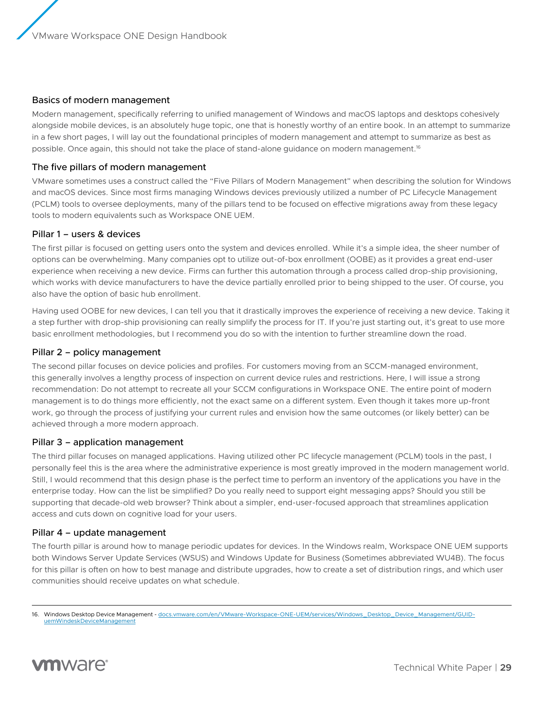# <span id="page-28-0"></span>Basics of modern management

Modern management, specifically referring to unified management of Windows and macOS laptops and desktops cohesively alongside mobile devices, is an absolutely huge topic, one that is honestly worthy of an entire book. In an attempt to summarize in a few short pages, I will lay out the foundational principles of modern management and attempt to summarize as best as possible. Once again, this should not take the place of stand-alone guidance on modern management.<sup>16</sup>

# The five pillars of modern management

VMware sometimes uses a construct called the "Five Pillars of Modern Management" when describing the solution for Windows and macOS devices. Since most firms managing Windows devices previously utilized a number of PC Lifecycle Management (PCLM) tools to oversee deployments, many of the pillars tend to be focused on effective migrations away from these legacy tools to modern equivalents such as Workspace ONE UEM.

### Pillar 1 – users & devices

The first pillar is focused on getting users onto the system and devices enrolled. While it's a simple idea, the sheer number of options can be overwhelming. Many companies opt to utilize out-of-box enrollment (OOBE) as it provides a great end-user experience when receiving a new device. Firms can further this automation through a process called drop-ship provisioning, which works with device manufacturers to have the device partially enrolled prior to being shipped to the user. Of course, you also have the option of basic hub enrollment.

Having used OOBE for new devices, I can tell you that it drastically improves the experience of receiving a new device. Taking it a step further with drop-ship provisioning can really simplify the process for IT. If you're just starting out, it's great to use more basic enrollment methodologies, but I recommend you do so with the intention to further streamline down the road.

### Pillar 2 – policy management

The second pillar focuses on device policies and profiles. For customers moving from an SCCM-managed environment, this generally involves a lengthy process of inspection on current device rules and restrictions. Here, I will issue a strong recommendation: Do not attempt to recreate all your SCCM configurations in Workspace ONE. The entire point of modern management is to do things more efficiently, not the exact same on a different system. Even though it takes more up-front work, go through the process of justifying your current rules and envision how the same outcomes (or likely better) can be achieved through a more modern approach.

# Pillar 3 – application management

The third pillar focuses on managed applications. Having utilized other PC lifecycle management (PCLM) tools in the past, I personally feel this is the area where the administrative experience is most greatly improved in the modern management world. Still, I would recommend that this design phase is the perfect time to perform an inventory of the applications you have in the enterprise today. How can the list be simplified? Do you really need to support eight messaging apps? Should you still be supporting that decade-old web browser? Think about a simpler, end-user-focused approach that streamlines application access and cuts down on cognitive load for your users.

#### Pillar 4 – update management

The fourth pillar is around how to manage periodic updates for devices. In the Windows realm, Workspace ONE UEM supports both Windows Server Update Services (WSUS) and Windows Update for Business (Sometimes abbreviated WU4B). The focus for this pillar is often on how to best manage and distribute upgrades, how to create a set of distribution rings, and which user communities should receive updates on what schedule.

<sup>16.</sup> Windows Desktop Device Management - [docs.vmware.com/en/VMware-Workspace-ONE-UEM/services/Windows\\_Desktop\\_Device\\_Management/GUID](https://docs.vmware.com/en/VMware-Workspace-ONE-UEM/services/Windows_Desktop_Device_Management/GUID-uemWindeskDeviceManagement.html?hWord=N4IghgNiBcIO4EsB2ATA9nAzgAhQU0wGsAXNAB1zwDcEBjPbAWzCTAHM9G8liQBfIA)[uemWindeskDeviceManagement](https://docs.vmware.com/en/VMware-Workspace-ONE-UEM/services/Windows_Desktop_Device_Management/GUID-uemWindeskDeviceManagement.html?hWord=N4IghgNiBcIO4EsB2ATA9nAzgAhQU0wGsAXNAB1zwDcEBjPbAWzCTAHM9G8liQBfIA)

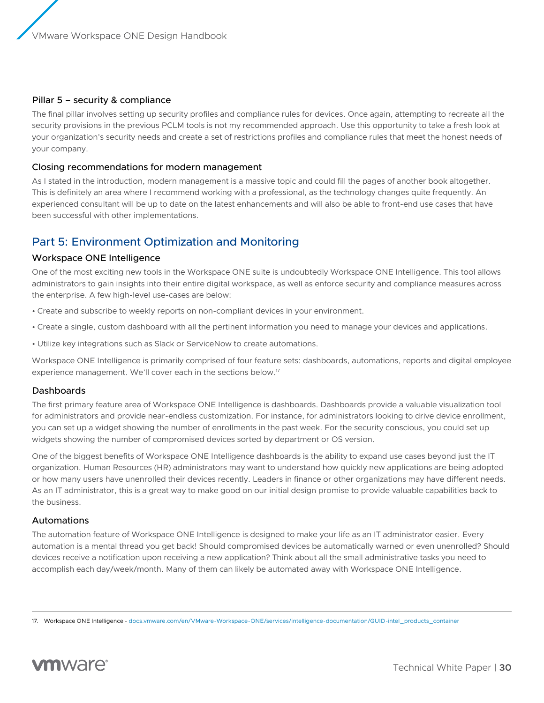# <span id="page-29-0"></span>Pillar 5 – security & compliance

The final pillar involves setting up security profiles and compliance rules for devices. Once again, attempting to recreate all the security provisions in the previous PCLM tools is not my recommended approach. Use this opportunity to take a fresh look at your organization's security needs and create a set of restrictions profiles and compliance rules that meet the honest needs of your company.

### Closing recommendations for modern management

As I stated in the introduction, modern management is a massive topic and could fill the pages of another book altogether. This is definitely an area where I recommend working with a professional, as the technology changes quite frequently. An experienced consultant will be up to date on the latest enhancements and will also be able to front-end use cases that have been successful with other implementations.

# Part 5: Environment Optimization and Monitoring

#### Workspace ONE Intelligence

One of the most exciting new tools in the Workspace ONE suite is undoubtedly Workspace ONE Intelligence. This tool allows administrators to gain insights into their entire digital workspace, as well as enforce security and compliance measures across the enterprise. A few high-level use-cases are below:

- Create and subscribe to weekly reports on non-compliant devices in your environment.
- Create a single, custom dashboard with all the pertinent information you need to manage your devices and applications.
- Utilize key integrations such as Slack or ServiceNow to create automations.

Workspace ONE Intelligence is primarily comprised of four feature sets: dashboards, automations, reports and digital employee experience management. We'll cover each in the sections below.17

# Dashboards

The first primary feature area of Workspace ONE Intelligence is dashboards. Dashboards provide a valuable visualization tool for administrators and provide near-endless customization. For instance, for administrators looking to drive device enrollment, you can set up a widget showing the number of enrollments in the past week. For the security conscious, you could set up widgets showing the number of compromised devices sorted by department or OS version.

One of the biggest benefits of Workspace ONE Intelligence dashboards is the ability to expand use cases beyond just the IT organization. Human Resources (HR) administrators may want to understand how quickly new applications are being adopted or how many users have unenrolled their devices recently. Leaders in finance or other organizations may have different needs. As an IT administrator, this is a great way to make good on our initial design promise to provide valuable capabilities back to the business.

# Automations

The automation feature of Workspace ONE Intelligence is designed to make your life as an IT administrator easier. Every automation is a mental thread you get back! Should compromised devices be automatically warned or even unenrolled? Should devices receive a notification upon receiving a new application? Think about all the small administrative tasks you need to accomplish each day/week/month. Many of them can likely be automated away with Workspace ONE Intelligence.

<sup>17.</sup> Workspace ONE Intelligence - [docs.vmware.com/en/VMware-Workspace-ONE/services/intelligence-documentation/GUID-intel\\_products\\_container](https://docs.vmware.com/en/VMware-Workspace-ONE/services/intelligence-documentation/GUID-intel_products_container.html)

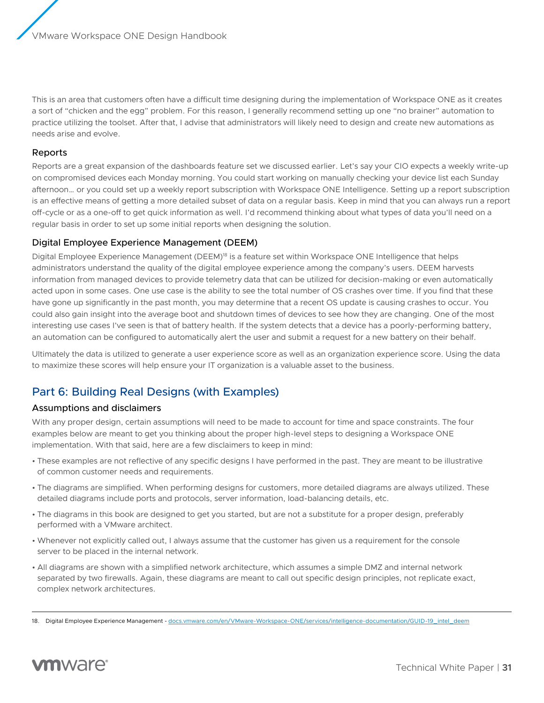<span id="page-30-0"></span>This is an area that customers often have a difficult time designing during the implementation of Workspace ONE as it creates a sort of "chicken and the egg" problem. For this reason, I generally recommend setting up one "no brainer" automation to practice utilizing the toolset. After that, I advise that administrators will likely need to design and create new automations as needs arise and evolve.

# Reports

Reports are a great expansion of the dashboards feature set we discussed earlier. Let's say your CIO expects a weekly write-up on compromised devices each Monday morning. You could start working on manually checking your device list each Sunday afternoon… or you could set up a weekly report subscription with Workspace ONE Intelligence. Setting up a report subscription is an effective means of getting a more detailed subset of data on a regular basis. Keep in mind that you can always run a report off-cycle or as a one-off to get quick information as well. I'd recommend thinking about what types of data you'll need on a regular basis in order to set up some initial reports when designing the solution.

### Digital Employee Experience Management (DEEM)

Digital Employee Experience Management (DEEM)<sup>18</sup> is a feature set within Workspace ONE Intelligence that helps administrators understand the quality of the digital employee experience among the company's users. DEEM harvests information from managed devices to provide telemetry data that can be utilized for decision-making or even automatically acted upon in some cases. One use case is the ability to see the total number of OS crashes over time. If you find that these have gone up significantly in the past month, you may determine that a recent OS update is causing crashes to occur. You could also gain insight into the average boot and shutdown times of devices to see how they are changing. One of the most interesting use cases I've seen is that of battery health. If the system detects that a device has a poorly-performing battery, an automation can be configured to automatically alert the user and submit a request for a new battery on their behalf.

Ultimately the data is utilized to generate a user experience score as well as an organization experience score. Using the data to maximize these scores will help ensure your IT organization is a valuable asset to the business.

# Part 6: Building Real Designs (with Examples)

#### Assumptions and disclaimers

With any proper design, certain assumptions will need to be made to account for time and space constraints. The four examples below are meant to get you thinking about the proper high-level steps to designing a Workspace ONE implementation. With that said, here are a few disclaimers to keep in mind:

- These examples are not reflective of any specific designs I have performed in the past. They are meant to be illustrative of common customer needs and requirements.
- The diagrams are simplified. When performing designs for customers, more detailed diagrams are always utilized. These detailed diagrams include ports and protocols, server information, load-balancing details, etc.
- The diagrams in this book are designed to get you started, but are not a substitute for a proper design, preferably performed with a VMware architect.
- Whenever not explicitly called out, I always assume that the customer has given us a requirement for the console server to be placed in the internal network.
- All diagrams are shown with a simplified network architecture, which assumes a simple DMZ and internal network separated by two firewalls. Again, these diagrams are meant to call out specific design principles, not replicate exact, complex network architectures.

<sup>18.</sup> Digital Employee Experience Management - [docs.vmware.com/en/VMware-Workspace-ONE/services/intelligence-documentation/GUID-19\\_intel\\_deem](https://docs.vmware.com/en/VMware-Workspace-ONE/services/intelligence-documentation/GUID-19_intel_deem.html?hWord=N4IghgNiBcICYFMEFsQF8g)

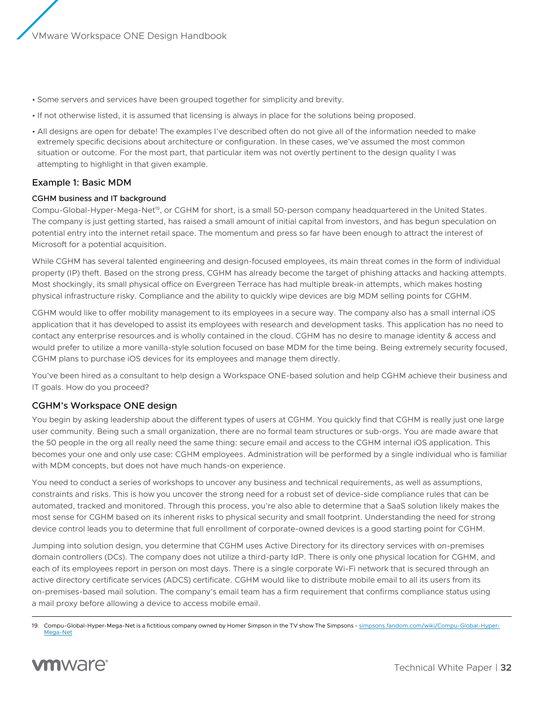- <span id="page-31-0"></span>• Some servers and services have been grouped together for simplicity and brevity.
- If not otherwise listed, it is assumed that licensing is always in place for the solutions being proposed.
- All designs are open for debate! The examples I've described often do not give all of the information needed to make extremely specific decisions about architecture or configuration. In these cases, we've assumed the most common situation or outcome. For the most part, that particular item was not overtly pertinent to the design quality I was attempting to highlight in that given example.

# Example 1: Basic MDM

#### CGHM business and IT background

Compu-Global-Hyper-Mega-Net19, or CGHM for short, is a small 50-person company headquartered in the United States. The company is just getting started, has raised a small amount of initial capital from investors, and has begun speculation on potential entry into the internet retail space. The momentum and press so far have been enough to attract the interest of Microsoft for a potential acquisition.

While CGHM has several talented engineering and design-focused employees, its main threat comes in the form of individual property (IP) theft. Based on the strong press, CGHM has already become the target of phishing attacks and hacking attempts. Most shockingly, its small physical office on Evergreen Terrace has had multiple break-in attempts, which makes hosting physical infrastructure risky. Compliance and the ability to quickly wipe devices are big MDM selling points for CGHM.

CGHM would like to offer mobility management to its employees in a secure way. The company also has a small internal iOS application that it has developed to assist its employees with research and development tasks. This application has no need to contact any enterprise resources and is wholly contained in the cloud. CGHM has no desire to manage identity & access and would prefer to utilize a more vanilla-style solution focused on base MDM for the time being. Being extremely security focused, CGHM plans to purchase iOS devices for its employees and manage them directly.

You've been hired as a consultant to help design a Workspace ONE-based solution and help CGHM achieve their business and IT goals. How do you proceed?

# CGHM's Workspace ONE design

You begin by asking leadership about the different types of users at CGHM. You quickly find that CGHM is really just one large user community. Being such a small organization, there are no formal team structures or sub-orgs. You are made aware that the 50 people in the org all really need the same thing: secure email and access to the CGHM internal iOS application. This becomes your one and only use case: CGHM employees. Administration will be performed by a single individual who is familiar with MDM concepts, but does not have much hands-on experience.

You need to conduct a series of workshops to uncover any business and technical requirements, as well as assumptions, constraints and risks. This is how you uncover the strong need for a robust set of device-side compliance rules that can be automated, tracked and monitored. Through this process, you're also able to determine that a SaaS solution likely makes the most sense for CGHM based on its inherent risks to physical security and small footprint. Understanding the need for strong device control leads you to determine that full enrollment of corporate-owned devices is a good starting point for CGHM.

Jumping into solution design, you determine that CGHM uses Active Directory for its directory services with on-premises domain controllers (DCs). The company does not utilize a third-party IdP. There is only one physical location for CGHM, and each of its employees report in person on most days. There is a single corporate Wi-Fi network that is secured through an active directory certificate services (ADCS) certificate. CGHM would like to distribute mobile email to all its users from its on-premises-based mail solution. The company's email team has a firm requirement that confirms compliance status using a mail proxy before allowing a device to access mobile email.

<sup>19.</sup> Compu-Global-Hyper-Mega-Net is a fictitious company owned by Homer Simpson in the TV show The Simpsons - [simpsons.fandom.com/wiki/Compu-Global-Hyper-](https://simpsons.fandom.com/wiki/Compu-Global-Hyper-Mega-Net)[Mega-Net](https://simpsons.fandom.com/wiki/Compu-Global-Hyper-Mega-Net)

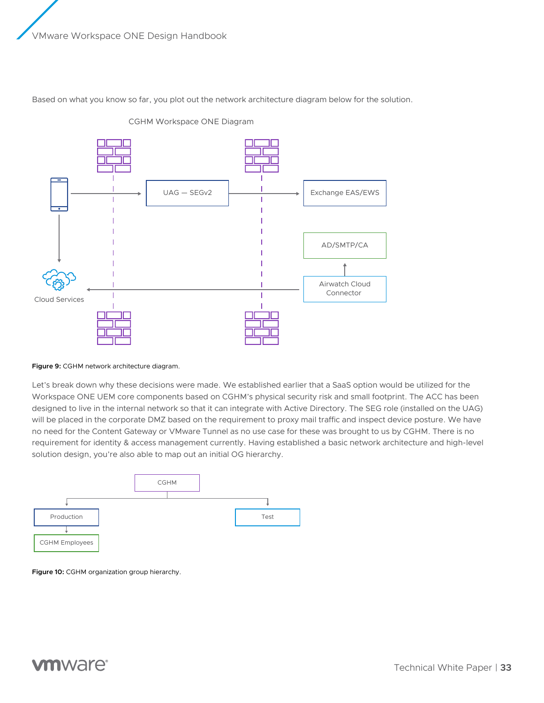Based on what you know so far, you plot out the network architecture diagram below for the solution.



CGHM Workspace ONE Diagram

#### **Figure 9:** CGHM network architecture diagram.

Let's break down why these decisions were made. We established earlier that a SaaS option would be utilized for the Workspace ONE UEM core components based on CGHM's physical security risk and small footprint. The ACC has been designed to live in the internal network so that it can integrate with Active Directory. The SEG role (installed on the UAG) will be placed in the corporate DMZ based on the requirement to proxy mail traffic and inspect device posture. We have no need for the Content Gateway or VMware Tunnel as no use case for these was brought to us by CGHM. There is no requirement for identity & access management currently. Having established a basic network architecture and high-level solution design, you're also able to map out an initial OG hierarchy.



**Figure 10:** CGHM organization group hierarchy.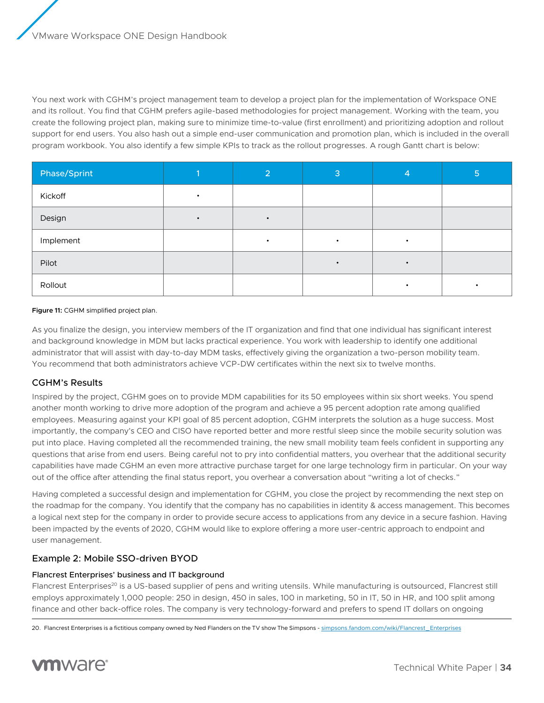<span id="page-33-0"></span>You next work with CGHM's project management team to develop a project plan for the implementation of Workspace ONE and its rollout. You find that CGHM prefers agile-based methodologies for project management. Working with the team, you create the following project plan, making sure to minimize time-to-value (first enrollment) and prioritizing adoption and rollout support for end users. You also hash out a simple end-user communication and promotion plan, which is included in the overall program workbook. You also identify a few simple KPIs to track as the rollout progresses. A rough Gantt chart is below:

| Phase/Sprint | $\overline{2}$ | 3 | 4 | 5 |
|--------------|----------------|---|---|---|
| Kickoff      |                |   |   |   |
| Design       |                |   |   |   |
| Implement    |                |   |   |   |
| Pilot        |                |   |   |   |
| Rollout      |                |   |   |   |

#### **Figure 11:** CGHM simplified project plan.

As you finalize the design, you interview members of the IT organization and find that one individual has significant interest and background knowledge in MDM but lacks practical experience. You work with leadership to identify one additional administrator that will assist with day-to-day MDM tasks, effectively giving the organization a two-person mobility team. You recommend that both administrators achieve VCP-DW certificates within the next six to twelve months.

# CGHM's Results

Inspired by the project, CGHM goes on to provide MDM capabilities for its 50 employees within six short weeks. You spend another month working to drive more adoption of the program and achieve a 95 percent adoption rate among qualified employees. Measuring against your KPI goal of 85 percent adoption, CGHM interprets the solution as a huge success. Most importantly, the company's CEO and CISO have reported better and more restful sleep since the mobile security solution was put into place. Having completed all the recommended training, the new small mobility team feels confident in supporting any questions that arise from end users. Being careful not to pry into confidential matters, you overhear that the additional security capabilities have made CGHM an even more attractive purchase target for one large technology firm in particular. On your way out of the office after attending the final status report, you overhear a conversation about "writing a lot of checks."

Having completed a successful design and implementation for CGHM, you close the project by recommending the next step on the roadmap for the company. You identify that the company has no capabilities in identity & access management. This becomes a logical next step for the company in order to provide secure access to applications from any device in a secure fashion. Having been impacted by the events of 2020, CGHM would like to explore offering a more user-centric approach to endpoint and user management.

# Example 2: Mobile SSO-driven BYOD

#### Flancrest Enterprises' business and IT background

Flancrest Enterprises<sup>20</sup> is a US-based supplier of pens and writing utensils. While manufacturing is outsourced, Flancrest still employs approximately 1,000 people: 250 in design, 450 in sales, 100 in marketing, 50 in IT, 50 in HR, and 100 split among finance and other back-office roles. The company is very technology-forward and prefers to spend IT dollars on ongoing

<sup>20.</sup> Flancrest Enterprises is a fictitious company owned by Ned Flanders on the TV show The Simpsons - [simpsons.fandom.com/wiki/Flancrest\\_Enterprises](https://simpsons.fandom.com/wiki/Flancrest_Enterprises)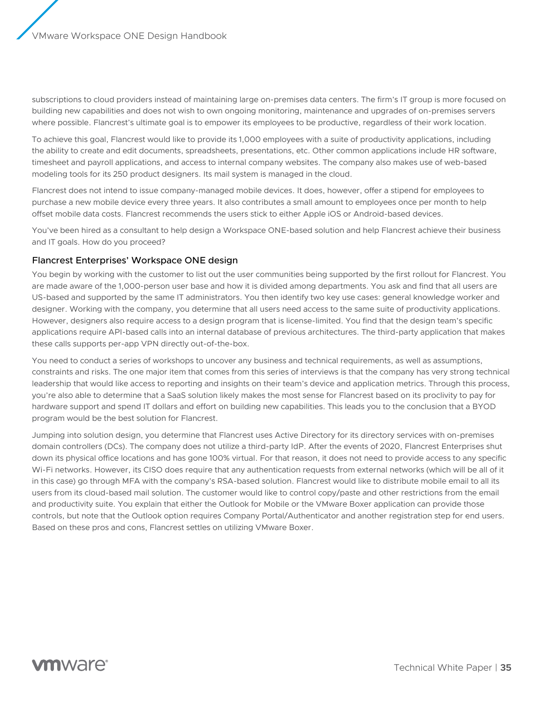<span id="page-34-0"></span>subscriptions to cloud providers instead of maintaining large on-premises data centers. The firm's IT group is more focused on building new capabilities and does not wish to own ongoing monitoring, maintenance and upgrades of on-premises servers where possible. Flancrest's ultimate goal is to empower its employees to be productive, regardless of their work location.

To achieve this goal, Flancrest would like to provide its 1,000 employees with a suite of productivity applications, including the ability to create and edit documents, spreadsheets, presentations, etc. Other common applications include HR software, timesheet and payroll applications, and access to internal company websites. The company also makes use of web-based modeling tools for its 250 product designers. Its mail system is managed in the cloud.

Flancrest does not intend to issue company-managed mobile devices. It does, however, offer a stipend for employees to purchase a new mobile device every three years. It also contributes a small amount to employees once per month to help offset mobile data costs. Flancrest recommends the users stick to either Apple iOS or Android-based devices.

You've been hired as a consultant to help design a Workspace ONE-based solution and help Flancrest achieve their business and IT goals. How do you proceed?

# Flancrest Enterprises' Workspace ONE design

You begin by working with the customer to list out the user communities being supported by the first rollout for Flancrest. You are made aware of the 1,000-person user base and how it is divided among departments. You ask and find that all users are US-based and supported by the same IT administrators. You then identify two key use cases: general knowledge worker and designer. Working with the company, you determine that all users need access to the same suite of productivity applications. However, designers also require access to a design program that is license-limited. You find that the design team's specific applications require API-based calls into an internal database of previous architectures. The third-party application that makes these calls supports per-app VPN directly out-of-the-box.

You need to conduct a series of workshops to uncover any business and technical requirements, as well as assumptions, constraints and risks. The one major item that comes from this series of interviews is that the company has very strong technical leadership that would like access to reporting and insights on their team's device and application metrics. Through this process, you're also able to determine that a SaaS solution likely makes the most sense for Flancrest based on its proclivity to pay for hardware support and spend IT dollars and effort on building new capabilities. This leads you to the conclusion that a BYOD program would be the best solution for Flancrest.

Jumping into solution design, you determine that Flancrest uses Active Directory for its directory services with on-premises domain controllers (DCs). The company does not utilize a third-party IdP. After the events of 2020, Flancrest Enterprises shut down its physical office locations and has gone 100% virtual. For that reason, it does not need to provide access to any specific Wi-Fi networks. However, its CISO does require that any authentication requests from external networks (which will be all of it in this case) go through MFA with the company's RSA-based solution. Flancrest would like to distribute mobile email to all its users from its cloud-based mail solution. The customer would like to control copy/paste and other restrictions from the email and productivity suite. You explain that either the Outlook for Mobile or the VMware Boxer application can provide those controls, but note that the Outlook option requires Company Portal/Authenticator and another registration step for end users. Based on these pros and cons, Flancrest settles on utilizing VMware Boxer.

# **vm**ware<sup>®</sup>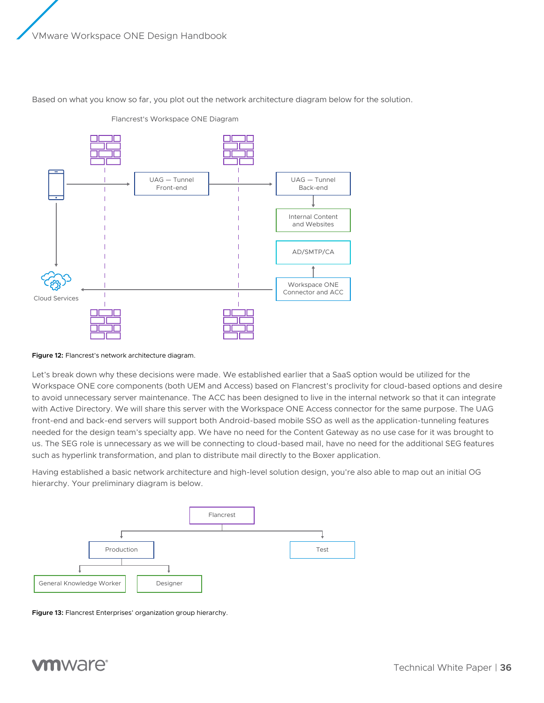

Based on what you know so far, you plot out the network architecture diagram below for the solution.

Flancrest's Workspace ONE Diagram

#### **Figure 12:** Flancrest's network architecture diagram.

Let's break down why these decisions were made. We established earlier that a SaaS option would be utilized for the Workspace ONE core components (both UEM and Access) based on Flancrest's proclivity for cloud-based options and desire to avoid unnecessary server maintenance. The ACC has been designed to live in the internal network so that it can integrate with Active Directory. We will share this server with the Workspace ONE Access connector for the same purpose. The UAG front-end and back-end servers will support both Android-based mobile SSO as well as the application-tunneling features needed for the design team's specialty app. We have no need for the Content Gateway as no use case for it was brought to us. The SEG role is unnecessary as we will be connecting to cloud-based mail, have no need for the additional SEG features such as hyperlink transformation, and plan to distribute mail directly to the Boxer application.

Having established a basic network architecture and high-level solution design, you're also able to map out an initial OG hierarchy. Your preliminary diagram is below.



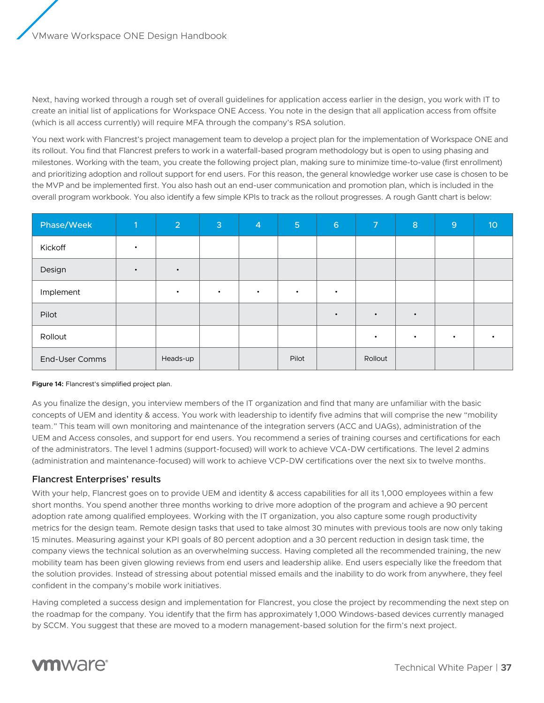<span id="page-36-0"></span>Next, having worked through a rough set of overall guidelines for application access earlier in the design, you work with IT to create an initial list of applications for Workspace ONE Access. You note in the design that all application access from offsite (which is all access currently) will require MFA through the company's RSA solution.

You next work with Flancrest's project management team to develop a project plan for the implementation of Workspace ONE and its rollout. You find that Flancrest prefers to work in a waterfall-based program methodology but is open to using phasing and milestones. Working with the team, you create the following project plan, making sure to minimize time-to-value (first enrollment) and prioritizing adoption and rollout support for end users. For this reason, the general knowledge worker use case is chosen to be the MVP and be implemented first. You also hash out an end-user communication and promotion plan, which is included in the overall program workbook. You also identify a few simple KPIs to track as the rollout progresses. A rough Gantt chart is below:

| Phase/Week     | $\blacksquare$ | $\overline{2}$ | 3         | $\overline{4}$ | 5 <sup>1</sup> | $6\phantom{1}6$ | $\overline{7}$ | $\,8\,$   | 9         | 10 <sup>°</sup> |
|----------------|----------------|----------------|-----------|----------------|----------------|-----------------|----------------|-----------|-----------|-----------------|
| Kickoff        |                |                |           |                |                |                 |                |           |           |                 |
| Design         |                | $\bullet$      |           |                |                |                 |                |           |           |                 |
| Implement      |                | $\bullet$      | $\bullet$ | ٠              | $\bullet$      | $\bullet$       |                |           |           |                 |
| Pilot          |                |                |           |                |                | $\bullet$       | $\bullet$      | $\bullet$ |           |                 |
| Rollout        |                |                |           |                |                |                 | $\bullet$      | $\bullet$ | $\bullet$ | $\bullet$       |
| End-User Comms |                | Heads-up       |           |                | Pilot          |                 | Rollout        |           |           |                 |

#### **Figure 14:** Flancrest's simplified project plan.

As you finalize the design, you interview members of the IT organization and find that many are unfamiliar with the basic concepts of UEM and identity & access. You work with leadership to identify five admins that will comprise the new "mobility team." This team will own monitoring and maintenance of the integration servers (ACC and UAGs), administration of the UEM and Access consoles, and support for end users. You recommend a series of training courses and certifications for each of the administrators. The level 1 admins (support-focused) will work to achieve VCA-DW certifications. The level 2 admins (administration and maintenance-focused) will work to achieve VCP-DW certifications over the next six to twelve months.

# Flancrest Enterprises' results

With your help, Flancrest goes on to provide UEM and identity & access capabilities for all its 1,000 employees within a few short months. You spend another three months working to drive more adoption of the program and achieve a 90 percent adoption rate among qualified employees. Working with the IT organization, you also capture some rough productivity metrics for the design team. Remote design tasks that used to take almost 30 minutes with previous tools are now only taking 15 minutes. Measuring against your KPI goals of 80 percent adoption and a 30 percent reduction in design task time, the company views the technical solution as an overwhelming success. Having completed all the recommended training, the new mobility team has been given glowing reviews from end users and leadership alike. End users especially like the freedom that the solution provides. Instead of stressing about potential missed emails and the inability to do work from anywhere, they feel confident in the company's mobile work initiatives.

Having completed a success design and implementation for Flancrest, you close the project by recommending the next step on the roadmap for the company. You identify that the firm has approximately 1,000 Windows-based devices currently managed by SCCM. You suggest that these are moved to a modern management-based solution for the firm's next project.

# **vm**ware<sup>®</sup>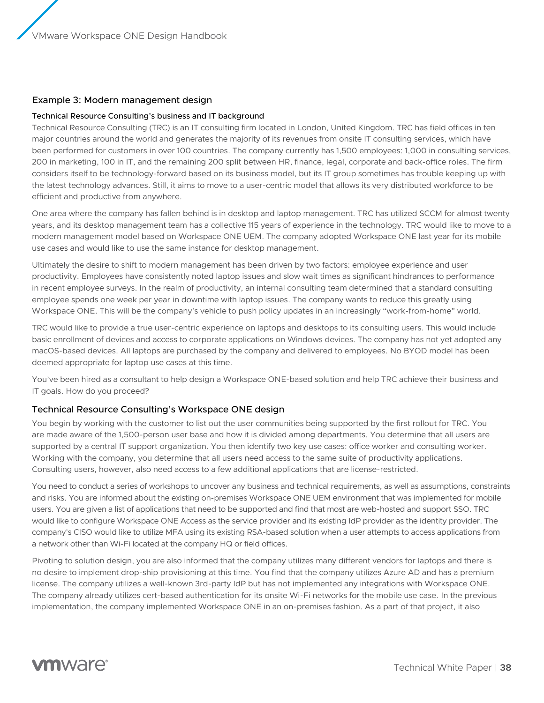# <span id="page-37-0"></span>Example 3: Modern management design

#### Technical Resource Consulting's business and IT background

Technical Resource Consulting (TRC) is an IT consulting firm located in London, United Kingdom. TRC has field offices in ten major countries around the world and generates the majority of its revenues from onsite IT consulting services, which have been performed for customers in over 100 countries. The company currently has 1,500 employees: 1,000 in consulting services, 200 in marketing, 100 in IT, and the remaining 200 split between HR, finance, legal, corporate and back-office roles. The firm considers itself to be technology-forward based on its business model, but its IT group sometimes has trouble keeping up with the latest technology advances. Still, it aims to move to a user-centric model that allows its very distributed workforce to be efficient and productive from anywhere.

One area where the company has fallen behind is in desktop and laptop management. TRC has utilized SCCM for almost twenty years, and its desktop management team has a collective 115 years of experience in the technology. TRC would like to move to a modern management model based on Workspace ONE UEM. The company adopted Workspace ONE last year for its mobile use cases and would like to use the same instance for desktop management.

Ultimately the desire to shift to modern management has been driven by two factors: employee experience and user productivity. Employees have consistently noted laptop issues and slow wait times as significant hindrances to performance in recent employee surveys. In the realm of productivity, an internal consulting team determined that a standard consulting employee spends one week per year in downtime with laptop issues. The company wants to reduce this greatly using Workspace ONE. This will be the company's vehicle to push policy updates in an increasingly "work-from-home" world.

TRC would like to provide a true user-centric experience on laptops and desktops to its consulting users. This would include basic enrollment of devices and access to corporate applications on Windows devices. The company has not yet adopted any macOS-based devices. All laptops are purchased by the company and delivered to employees. No BYOD model has been deemed appropriate for laptop use cases at this time.

You've been hired as a consultant to help design a Workspace ONE-based solution and help TRC achieve their business and IT goals. How do you proceed?

# Technical Resource Consulting's Workspace ONE design

You begin by working with the customer to list out the user communities being supported by the first rollout for TRC. You are made aware of the 1,500-person user base and how it is divided among departments. You determine that all users are supported by a central IT support organization. You then identify two key use cases: office worker and consulting worker. Working with the company, you determine that all users need access to the same suite of productivity applications. Consulting users, however, also need access to a few additional applications that are license-restricted.

You need to conduct a series of workshops to uncover any business and technical requirements, as well as assumptions, constraints and risks. You are informed about the existing on-premises Workspace ONE UEM environment that was implemented for mobile users. You are given a list of applications that need to be supported and find that most are web-hosted and support SSO. TRC would like to configure Workspace ONE Access as the service provider and its existing IdP provider as the identity provider. The company's CISO would like to utilize MFA using its existing RSA-based solution when a user attempts to access applications from a network other than Wi-Fi located at the company HQ or field offices.

Pivoting to solution design, you are also informed that the company utilizes many different vendors for laptops and there is no desire to implement drop-ship provisioning at this time. You find that the company utilizes Azure AD and has a premium license. The company utilizes a well-known 3rd-party IdP but has not implemented any integrations with Workspace ONE. The company already utilizes cert-based authentication for its onsite Wi-Fi networks for the mobile use case. In the previous implementation, the company implemented Workspace ONE in an on-premises fashion. As a part of that project, it also

# **vm**ware<sup>®</sup>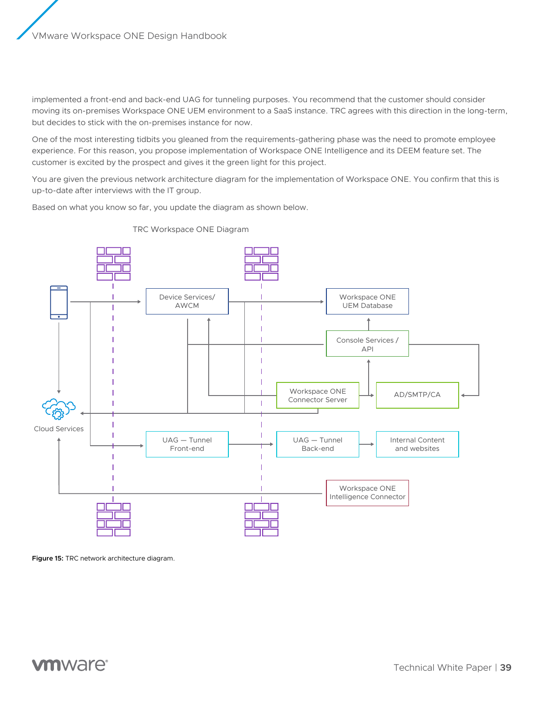implemented a front-end and back-end UAG for tunneling purposes. You recommend that the customer should consider moving its on-premises Workspace ONE UEM environment to a SaaS instance. TRC agrees with this direction in the long-term, but decides to stick with the on-premises instance for now.

One of the most interesting tidbits you gleaned from the requirements-gathering phase was the need to promote employee experience. For this reason, you propose implementation of Workspace ONE Intelligence and its DEEM feature set. The customer is excited by the prospect and gives it the green light for this project.

You are given the previous network architecture diagram for the implementation of Workspace ONE. You confirm that this is up-to-date after interviews with the IT group.

Based on what you know so far, you update the diagram as shown below.



TRC Workspace ONE Diagram

**Figure 15:** TRC network architecture diagram.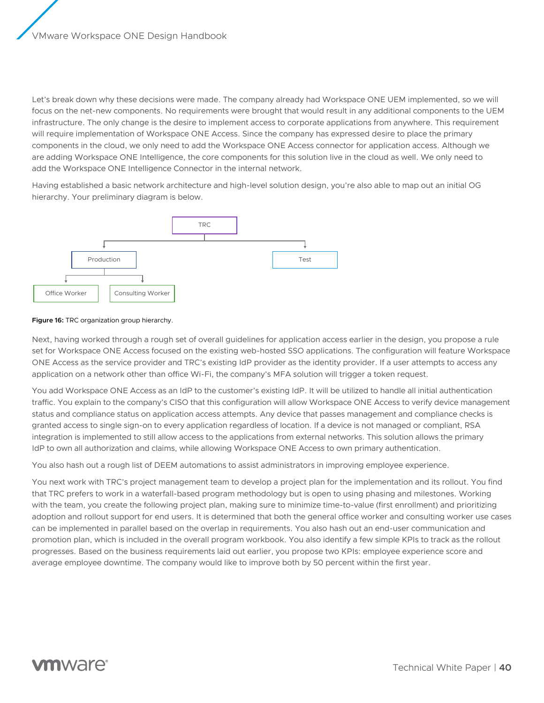Let's break down why these decisions were made. The company already had Workspace ONE UEM implemented, so we will focus on the net-new components. No requirements were brought that would result in any additional components to the UEM infrastructure. The only change is the desire to implement access to corporate applications from anywhere. This requirement will require implementation of Workspace ONE Access. Since the company has expressed desire to place the primary components in the cloud, we only need to add the Workspace ONE Access connector for application access. Although we are adding Workspace ONE Intelligence, the core components for this solution live in the cloud as well. We only need to add the Workspace ONE Intelligence Connector in the internal network.

Having established a basic network architecture and high-level solution design, you're also able to map out an initial OG hierarchy. Your preliminary diagram is below.



#### **Figure 16:** TRC organization group hierarchy.

Next, having worked through a rough set of overall guidelines for application access earlier in the design, you propose a rule set for Workspace ONE Access focused on the existing web-hosted SSO applications. The configuration will feature Workspace ONE Access as the service provider and TRC's existing IdP provider as the identity provider. If a user attempts to access any application on a network other than office Wi-Fi, the company's MFA solution will trigger a token request.

You add Workspace ONE Access as an IdP to the customer's existing IdP. It will be utilized to handle all initial authentication traffic. You explain to the company's CISO that this configuration will allow Workspace ONE Access to verify device management status and compliance status on application access attempts. Any device that passes management and compliance checks is granted access to single sign-on to every application regardless of location. If a device is not managed or compliant, RSA integration is implemented to still allow access to the applications from external networks. This solution allows the primary IdP to own all authorization and claims, while allowing Workspace ONE Access to own primary authentication.

You also hash out a rough list of DEEM automations to assist administrators in improving employee experience.

You next work with TRC's project management team to develop a project plan for the implementation and its rollout. You find that TRC prefers to work in a waterfall-based program methodology but is open to using phasing and milestones. Working with the team, you create the following project plan, making sure to minimize time-to-value (first enrollment) and prioritizing adoption and rollout support for end users. It is determined that both the general office worker and consulting worker use cases can be implemented in parallel based on the overlap in requirements. You also hash out an end-user communication and promotion plan, which is included in the overall program workbook. You also identify a few simple KPIs to track as the rollout progresses. Based on the business requirements laid out earlier, you propose two KPIs: employee experience score and average employee downtime. The company would like to improve both by 50 percent within the first year.

# mware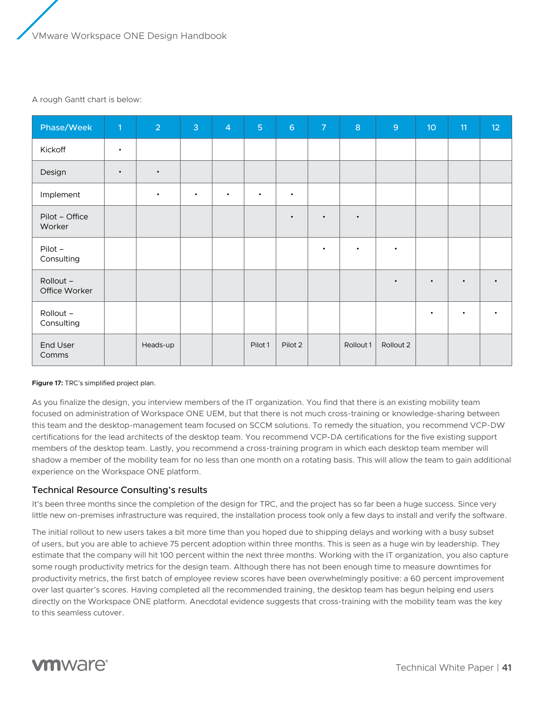#### <span id="page-40-0"></span>A rough Gantt chart is below:

| Phase/Week                 | $\vert$ 1 | $\overline{2}$ | $\overline{3}$ | $\overline{4}$ | $\overline{5}$ | $6\phantom{a}$ | $\overline{7}$ | $\mathbf{8}$ | $\overline{9}$ | 10 <sup>°</sup> | 11        | 12        |
|----------------------------|-----------|----------------|----------------|----------------|----------------|----------------|----------------|--------------|----------------|-----------------|-----------|-----------|
| Kickoff                    | $\bullet$ |                |                |                |                |                |                |              |                |                 |           |           |
| Design                     | $\bullet$ | $\bullet$      |                |                |                |                |                |              |                |                 |           |           |
| Implement                  |           | $\bullet$      | $\bullet$      | $\bullet$      | $\bullet$      | $\bullet$      |                |              |                |                 |           |           |
| Pilot - Office<br>Worker   |           |                |                |                |                | $\bullet$      | $\bullet$      | $\bullet$    |                |                 |           |           |
| Pilot-<br>Consulting       |           |                |                |                |                |                | $\bullet$      | $\bullet$    | $\bullet$      |                 |           |           |
| Rollout -<br>Office Worker |           |                |                |                |                |                |                |              | $\bullet$      | $\bullet$       | $\bullet$ | $\bullet$ |
| Rollout -<br>Consulting    |           |                |                |                |                |                |                |              |                | $\bullet$       | $\bullet$ | $\bullet$ |
| End User<br>Comms          |           | Heads-up       |                |                | Pilot 1        | Pilot 2        |                | Rollout 1    | Rollout 2      |                 |           |           |

#### **Figure 17:** TRC's simplified project plan.

As you finalize the design, you interview members of the IT organization. You find that there is an existing mobility team focused on administration of Workspace ONE UEM, but that there is not much cross-training or knowledge-sharing between this team and the desktop-management team focused on SCCM solutions. To remedy the situation, you recommend VCP-DW certifications for the lead architects of the desktop team. You recommend VCP-DA certifications for the five existing support members of the desktop team. Lastly, you recommend a cross-training program in which each desktop team member will shadow a member of the mobility team for no less than one month on a rotating basis. This will allow the team to gain additional experience on the Workspace ONE platform.

# Technical Resource Consulting's results

It's been three months since the completion of the design for TRC, and the project has so far been a huge success. Since very little new on-premises infrastructure was required, the installation process took only a few days to install and verify the software.

The initial rollout to new users takes a bit more time than you hoped due to shipping delays and working with a busy subset of users, but you are able to achieve 75 percent adoption within three months. This is seen as a huge win by leadership. They estimate that the company will hit 100 percent within the next three months. Working with the IT organization, you also capture some rough productivity metrics for the design team. Although there has not been enough time to measure downtimes for productivity metrics, the first batch of employee review scores have been overwhelmingly positive: a 60 percent improvement over last quarter's scores. Having completed all the recommended training, the desktop team has begun helping end users directly on the Workspace ONE platform. Anecdotal evidence suggests that cross-training with the mobility team was the key to this seamless cutover.

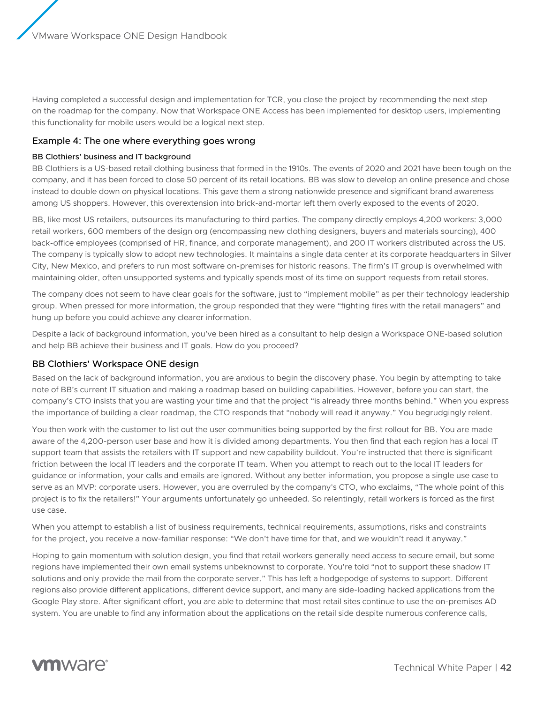<span id="page-41-0"></span>Having completed a successful design and implementation for TCR, you close the project by recommending the next step on the roadmap for the company. Now that Workspace ONE Access has been implemented for desktop users, implementing this functionality for mobile users would be a logical next step.

### Example 4: The one where everything goes wrong

#### BB Clothiers' business and IT background

BB Clothiers is a US-based retail clothing business that formed in the 1910s. The events of 2020 and 2021 have been tough on the company, and it has been forced to close 50 percent of its retail locations. BB was slow to develop an online presence and chose instead to double down on physical locations. This gave them a strong nationwide presence and significant brand awareness among US shoppers. However, this overextension into brick-and-mortar left them overly exposed to the events of 2020.

BB, like most US retailers, outsources its manufacturing to third parties. The company directly employs 4,200 workers: 3,000 retail workers, 600 members of the design org (encompassing new clothing designers, buyers and materials sourcing), 400 back-office employees (comprised of HR, finance, and corporate management), and 200 IT workers distributed across the US. The company is typically slow to adopt new technologies. It maintains a single data center at its corporate headquarters in Silver City, New Mexico, and prefers to run most software on-premises for historic reasons. The firm's IT group is overwhelmed with maintaining older, often unsupported systems and typically spends most of its time on support requests from retail stores.

The company does not seem to have clear goals for the software, just to "implement mobile" as per their technology leadership group. When pressed for more information, the group responded that they were "fighting fires with the retail managers" and hung up before you could achieve any clearer information.

Despite a lack of background information, you've been hired as a consultant to help design a Workspace ONE-based solution and help BB achieve their business and IT goals. How do you proceed?

# BB Clothiers' Workspace ONE design

Based on the lack of background information, you are anxious to begin the discovery phase. You begin by attempting to take note of BB's current IT situation and making a roadmap based on building capabilities. However, before you can start, the company's CTO insists that you are wasting your time and that the project "is already three months behind." When you express the importance of building a clear roadmap, the CTO responds that "nobody will read it anyway." You begrudgingly relent.

You then work with the customer to list out the user communities being supported by the first rollout for BB. You are made aware of the 4,200-person user base and how it is divided among departments. You then find that each region has a local IT support team that assists the retailers with IT support and new capability buildout. You're instructed that there is significant friction between the local IT leaders and the corporate IT team. When you attempt to reach out to the local IT leaders for guidance or information, your calls and emails are ignored. Without any better information, you propose a single use case to serve as an MVP: corporate users. However, you are overruled by the company's CTO, who exclaims, "The whole point of this project is to fix the retailers!" Your arguments unfortunately go unheeded. So relentingly, retail workers is forced as the first use case.

When you attempt to establish a list of business requirements, technical requirements, assumptions, risks and constraints for the project, you receive a now-familiar response: "We don't have time for that, and we wouldn't read it anyway."

Hoping to gain momentum with solution design, you find that retail workers generally need access to secure email, but some regions have implemented their own email systems unbeknownst to corporate. You're told "not to support these shadow IT solutions and only provide the mail from the corporate server." This has left a hodgepodge of systems to support. Different regions also provide different applications, different device support, and many are side-loading hacked applications from the Google Play store. After significant effort, you are able to determine that most retail sites continue to use the on-premises AD system. You are unable to find any information about the applications on the retail side despite numerous conference calls,

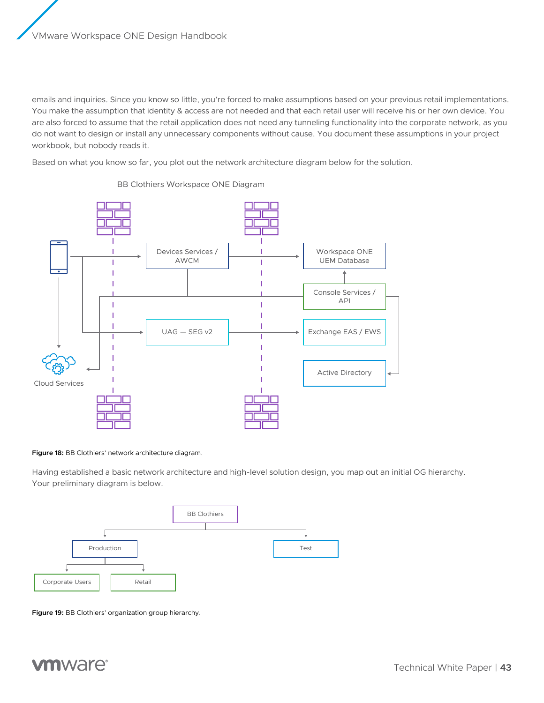emails and inquiries. Since you know so little, you're forced to make assumptions based on your previous retail implementations. You make the assumption that identity & access are not needed and that each retail user will receive his or her own device. You are also forced to assume that the retail application does not need any tunneling functionality into the corporate network, as you do not want to design or install any unnecessary components without cause. You document these assumptions in your project workbook, but nobody reads it.

Based on what you know so far, you plot out the network architecture diagram below for the solution.



#### BB Clothiers Workspace ONE Diagram

#### **Figure 18:** BB Clothiers' network architecture diagram.

Having established a basic network architecture and high-level solution design, you map out an initial OG hierarchy. Your preliminary diagram is below.



**Figure 19:** BB Clothiers' organization group hierarchy.

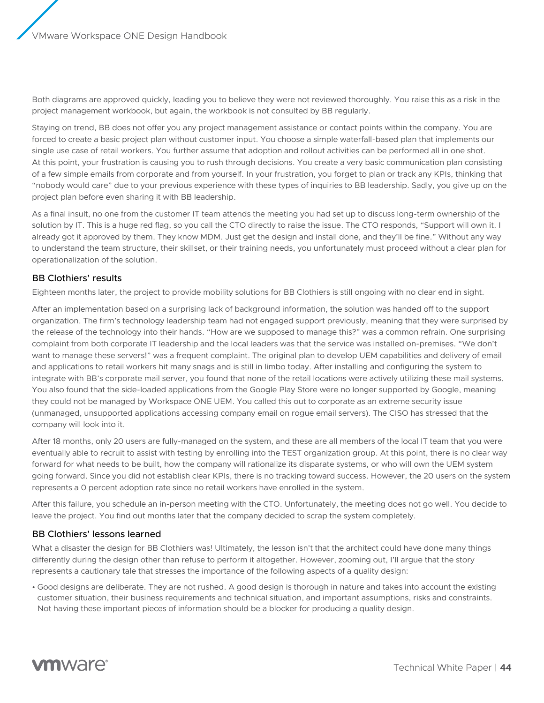<span id="page-43-0"></span>Both diagrams are approved quickly, leading you to believe they were not reviewed thoroughly. You raise this as a risk in the project management workbook, but again, the workbook is not consulted by BB regularly.

Staying on trend, BB does not offer you any project management assistance or contact points within the company. You are forced to create a basic project plan without customer input. You choose a simple waterfall-based plan that implements our single use case of retail workers. You further assume that adoption and rollout activities can be performed all in one shot. At this point, your frustration is causing you to rush through decisions. You create a very basic communication plan consisting of a few simple emails from corporate and from yourself. In your frustration, you forget to plan or track any KPIs, thinking that "nobody would care" due to your previous experience with these types of inquiries to BB leadership. Sadly, you give up on the project plan before even sharing it with BB leadership.

As a final insult, no one from the customer IT team attends the meeting you had set up to discuss long-term ownership of the solution by IT. This is a huge red flag, so you call the CTO directly to raise the issue. The CTO responds, "Support will own it. I already got it approved by them. They know MDM. Just get the design and install done, and they'll be fine." Without any way to understand the team structure, their skillset, or their training needs, you unfortunately must proceed without a clear plan for operationalization of the solution.

# BB Clothiers' results

Eighteen months later, the project to provide mobility solutions for BB Clothiers is still ongoing with no clear end in sight.

After an implementation based on a surprising lack of background information, the solution was handed off to the support organization. The firm's technology leadership team had not engaged support previously, meaning that they were surprised by the release of the technology into their hands. "How are we supposed to manage this?" was a common refrain. One surprising complaint from both corporate IT leadership and the local leaders was that the service was installed on-premises. "We don't want to manage these servers!" was a frequent complaint. The original plan to develop UEM capabilities and delivery of email and applications to retail workers hit many snags and is still in limbo today. After installing and configuring the system to integrate with BB's corporate mail server, you found that none of the retail locations were actively utilizing these mail systems. You also found that the side-loaded applications from the Google Play Store were no longer supported by Google, meaning they could not be managed by Workspace ONE UEM. You called this out to corporate as an extreme security issue (unmanaged, unsupported applications accessing company email on rogue email servers). The CISO has stressed that the company will look into it.

After 18 months, only 20 users are fully-managed on the system, and these are all members of the local IT team that you were eventually able to recruit to assist with testing by enrolling into the TEST organization group. At this point, there is no clear way forward for what needs to be built, how the company will rationalize its disparate systems, or who will own the UEM system going forward. Since you did not establish clear KPIs, there is no tracking toward success. However, the 20 users on the system represents a 0 percent adoption rate since no retail workers have enrolled in the system.

After this failure, you schedule an in-person meeting with the CTO. Unfortunately, the meeting does not go well. You decide to leave the project. You find out months later that the company decided to scrap the system completely.

# BB Clothiers' lessons learned

What a disaster the design for BB Clothiers was! Ultimately, the lesson isn't that the architect could have done many things differently during the design other than refuse to perform it altogether. However, zooming out, I'll argue that the story represents a cautionary tale that stresses the importance of the following aspects of a quality design:

• Good designs are deliberate. They are not rushed. A good design is thorough in nature and takes into account the existing customer situation, their business requirements and technical situation, and important assumptions, risks and constraints. Not having these important pieces of information should be a blocker for producing a quality design.

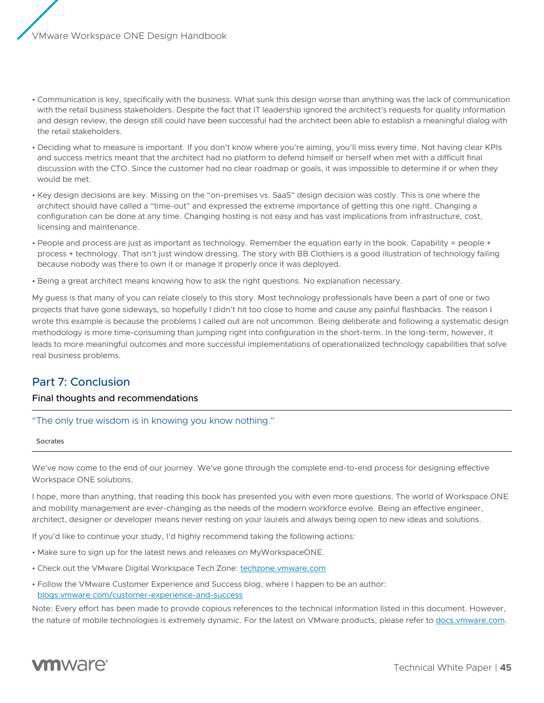- <span id="page-44-0"></span>• Communication is key, specifically with the business. What sunk this design worse than anything was the lack of communication with the retail business stakeholders. Despite the fact that IT leadership ignored the architect's requests for quality information and design review, the design still could have been successful had the architect been able to establish a meaningful dialog with the retail stakeholders.
- Deciding what to measure is important. If you don't know where you're aiming, you'll miss every time. Not having clear KPIs and success metrics meant that the architect had no platform to defend himself or herself when met with a difficult final discussion with the CTO. Since the customer had no clear roadmap or goals, it was impossible to determine if or when they would be met.
- Key design decisions are key. Missing on the "on-premises vs. SaaS" design decision was costly. This is one where the architect should have called a "time-out" and expressed the extreme importance of getting this one right. Changing a configuration can be done at any time. Changing hosting is not easy and has vast implications from infrastructure, cost, licensing and maintenance.
- People and process are just as important as technology. Remember the equation early in the book. Capability = people + process + technology. That isn't just window dressing. The story with BB Clothiers is a good illustration of technology failing because nobody was there to own it or manage it properly once it was deployed.
- Being a great architect means knowing how to ask the right questions. No explanation necessary.

My guess is that many of you can relate closely to this story. Most technology professionals have been a part of one or two projects that have gone sideways, so hopefully I didn't hit too close to home and cause any painful flashbacks. The reason I wrote this example is because the problems I called out are not uncommon. Being deliberate and following a systematic design methodology is more time-consuming than jumping right into configuration in the short-term. In the long-term, however, it leads to more meaningful outcomes and more successful implementations of operationalized technology capabilities that solve real business problems.

# Part 7: Conclusion

# Final thoughts and recommendations

"The only true wisdom is in knowing you know nothing."

#### Socrates

We've now come to the end of our journey. We've gone through the complete end-to-end process for designing effective Workspace ONE solutions.

I hope, more than anything, that reading this book has presented you with even more questions. The world of Workspace ONE and mobility management are ever-changing as the needs of the modern workforce evolve. Being an effective engineer, architect, designer or developer means never resting on your laurels and always being open to new ideas and solutions.

If you'd like to continue your study, I'd highly recommend taking the following actions:

- Make sure to sign up for the latest news and releases on MyWorkspaceONE.
- Check out the VMware Digital Workspace Tech Zone: [techzone.vmware.com](https://techzone.vmware.com)
- Follow the VMware Customer Experience and Success blog, where I happen to be an author: [blogs.vmware.com/customer-experience-and-success](https://blogs.vmware.com/customer-experience-and-success/)

Note: Every effort has been made to provide copious references to the technical information listed in this document. However, the nature of mobile technologies is extremely dynamic. For the latest on VMware products, please refer to <docs.vmware.com>.

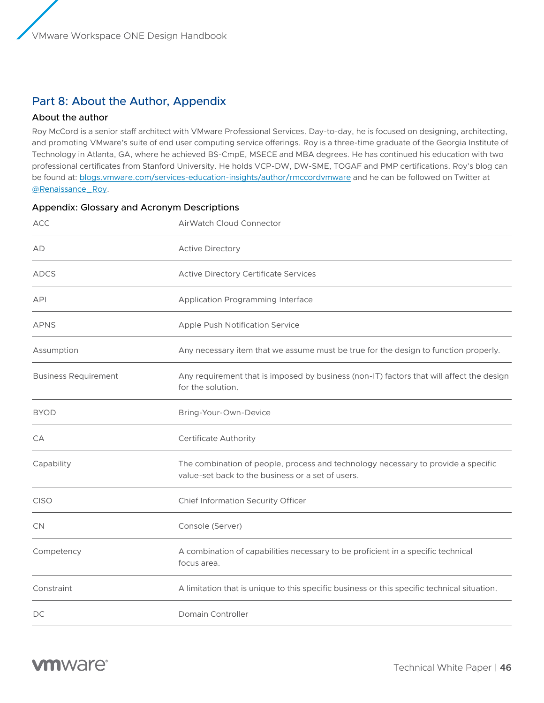# <span id="page-45-0"></span>Part 8: About the Author, Appendix

# About the author

Roy McCord is a senior staff architect with VMware Professional Services. Day-to-day, he is focused on designing, architecting, and promoting VMware's suite of end user computing service offerings. Roy is a three-time graduate of the Georgia Institute of Technology in Atlanta, GA, where he achieved BS-CmpE, MSECE and MBA degrees. He has continued his education with two professional certificates from Stanford University. He holds VCP-DW, DW-SME, TOGAF and PMP certifications. Roy's blog can be found at: [blogs.vmware.com/services-education-insights/author/rmccordvmware](https://blogs.vmware.com/services-education-insights/author/rmccordvmware-com) and he can be followed on Twitter at [@Renaissance\\_Roy](https://twitter.com/Renaissance_Roy).

| <b>ACC</b>                  | AirWatch Cloud Connector                                                                                                               |  |  |  |  |  |
|-----------------------------|----------------------------------------------------------------------------------------------------------------------------------------|--|--|--|--|--|
| AD                          | <b>Active Directory</b>                                                                                                                |  |  |  |  |  |
| <b>ADCS</b>                 | <b>Active Directory Certificate Services</b>                                                                                           |  |  |  |  |  |
| <b>API</b>                  | Application Programming Interface                                                                                                      |  |  |  |  |  |
| <b>APNS</b>                 | Apple Push Notification Service                                                                                                        |  |  |  |  |  |
| Assumption                  | Any necessary item that we assume must be true for the design to function properly.                                                    |  |  |  |  |  |
| <b>Business Requirement</b> | Any requirement that is imposed by business (non-IT) factors that will affect the design<br>for the solution.                          |  |  |  |  |  |
| <b>BYOD</b>                 | Bring-Your-Own-Device                                                                                                                  |  |  |  |  |  |
| CA                          | <b>Certificate Authority</b>                                                                                                           |  |  |  |  |  |
| Capability                  | The combination of people, process and technology necessary to provide a specific<br>value-set back to the business or a set of users. |  |  |  |  |  |
| <b>CISO</b>                 | Chief Information Security Officer                                                                                                     |  |  |  |  |  |
| CN                          | Console (Server)                                                                                                                       |  |  |  |  |  |
| Competency                  | A combination of capabilities necessary to be proficient in a specific technical<br>focus area.                                        |  |  |  |  |  |
| Constraint                  | A limitation that is unique to this specific business or this specific technical situation.                                            |  |  |  |  |  |
| DC                          | Domain Controller                                                                                                                      |  |  |  |  |  |

# Appendix: Glossary and Acronym Descriptions

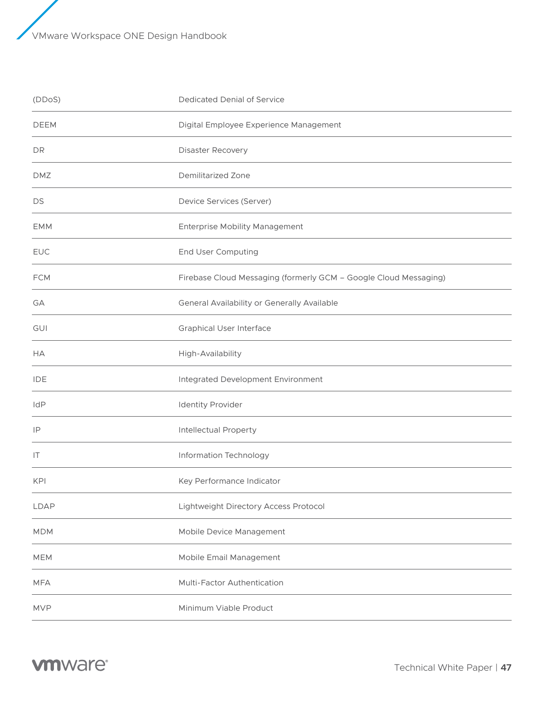| (DDoS)      | Dedicated Denial of Service                                      |
|-------------|------------------------------------------------------------------|
| <b>DEEM</b> | Digital Employee Experience Management                           |
| DR          | Disaster Recovery                                                |
| <b>DMZ</b>  | <b>Demilitarized Zone</b>                                        |
| DS          | Device Services (Server)                                         |
| <b>EMM</b>  | <b>Enterprise Mobility Management</b>                            |
| <b>EUC</b>  | <b>End User Computing</b>                                        |
| <b>FCM</b>  | Firebase Cloud Messaging (formerly GCM - Google Cloud Messaging) |
| GA          | General Availability or Generally Available                      |
| GUI         | <b>Graphical User Interface</b>                                  |
| НA          | High-Availability                                                |
| <b>IDE</b>  | Integrated Development Environment                               |
| IdP         | <b>Identity Provider</b>                                         |
| IP          | <b>Intellectual Property</b>                                     |
| IT          | Information Technology                                           |
| KPI         | Key Performance Indicator                                        |
| <b>LDAP</b> | Lightweight Directory Access Protocol                            |
| <b>MDM</b>  | Mobile Device Management                                         |
| <b>MEM</b>  | Mobile Email Management                                          |
| <b>MFA</b>  | Multi-Factor Authentication                                      |
| <b>MVP</b>  | Minimum Viable Product                                           |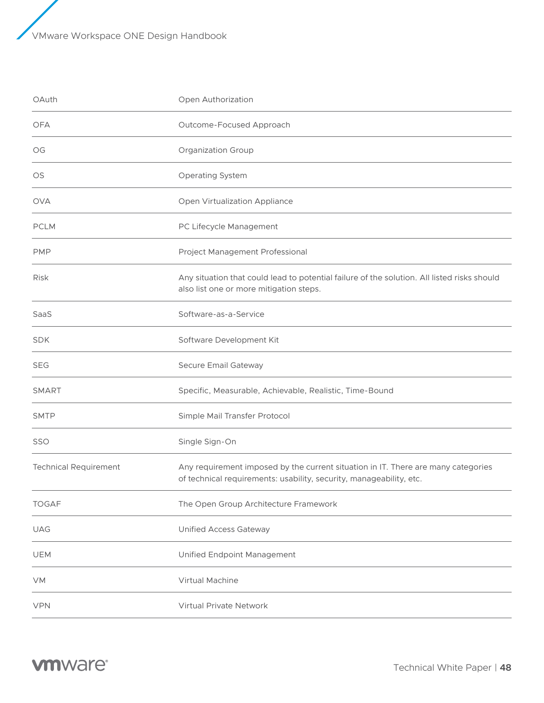| OAuth                        | Open Authorization                                                                                                                                       |
|------------------------------|----------------------------------------------------------------------------------------------------------------------------------------------------------|
| <b>OFA</b>                   | Outcome-Focused Approach                                                                                                                                 |
| OG                           | <b>Organization Group</b>                                                                                                                                |
| OS                           | Operating System                                                                                                                                         |
| <b>OVA</b>                   | Open Virtualization Appliance                                                                                                                            |
| <b>PCLM</b>                  | PC Lifecycle Management                                                                                                                                  |
| <b>PMP</b>                   | Project Management Professional                                                                                                                          |
| <b>Risk</b>                  | Any situation that could lead to potential failure of the solution. All listed risks should<br>also list one or more mitigation steps.                   |
| SaaS                         | Software-as-a-Service                                                                                                                                    |
| <b>SDK</b>                   | Software Development Kit                                                                                                                                 |
| <b>SEG</b>                   | Secure Email Gateway                                                                                                                                     |
| <b>SMART</b>                 | Specific, Measurable, Achievable, Realistic, Time-Bound                                                                                                  |
| <b>SMTP</b>                  | Simple Mail Transfer Protocol                                                                                                                            |
| SSO                          | Single Sign-On                                                                                                                                           |
| <b>Technical Requirement</b> | Any requirement imposed by the current situation in IT. There are many categories<br>of technical requirements: usability, security, manageability, etc. |
| <b>TOGAF</b>                 | The Open Group Architecture Framework                                                                                                                    |
| <b>UAG</b>                   | Unified Access Gateway                                                                                                                                   |
| UEM                          | Unified Endpoint Management                                                                                                                              |
| <b>VM</b>                    | Virtual Machine                                                                                                                                          |
| <b>VPN</b>                   | Virtual Private Network                                                                                                                                  |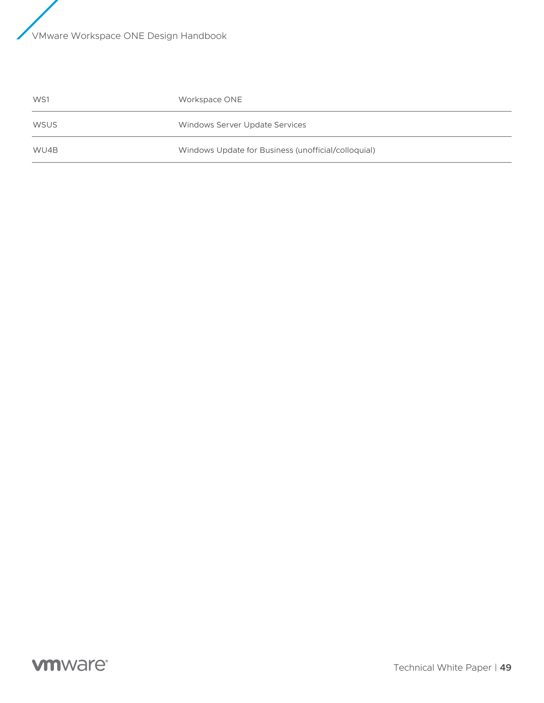| WS1         | Workspace ONE                                       |
|-------------|-----------------------------------------------------|
| <b>WSUS</b> | Windows Server Update Services                      |
| WU4B        | Windows Update for Business (unofficial/colloquial) |